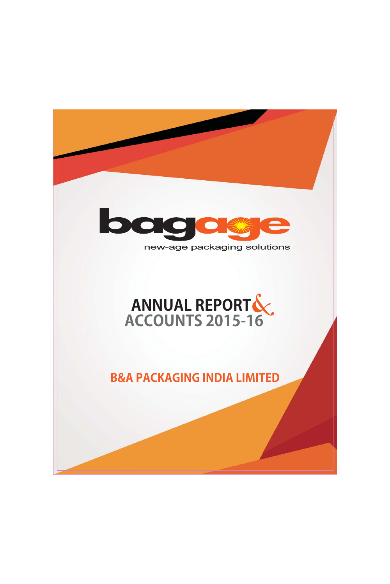

# new-age packaging solutions

# ANNUAL REPORTS

**B&A PACKAGING INDIA LIMITED**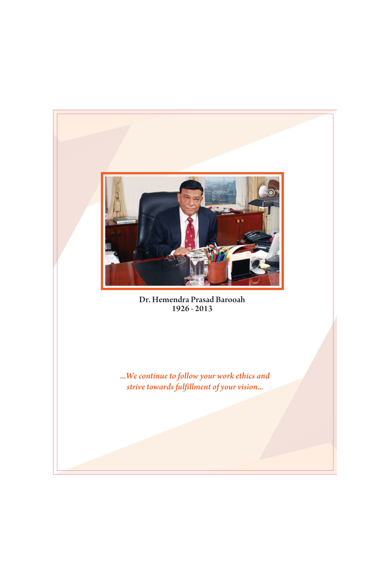

Dr. Hemendra Prasad Barooah 1926 - 2013

...We continue to follow your work ethics and strive towards fulfillment of your vision...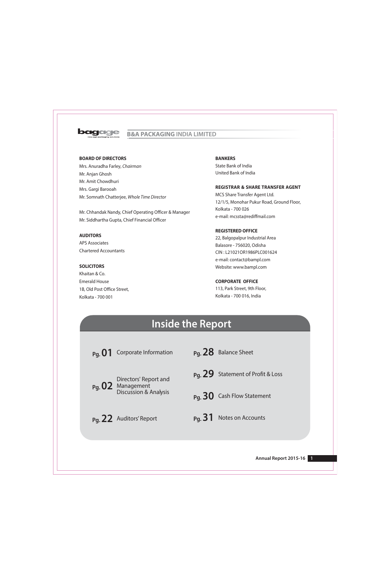

# **B&A PACKAGING INDIA LIMITED**

# **BOARD OF DIRECTORS**

Mrs. Anuradha Farley, Chairman Mr. Anjan Ghosh Mr. Amit Chowdhuri Mrs. Gargi Barooah Mr. Somnath Chatterjee, Whole Time Director

Mr. Chhandak Nandy, Chief Operating Officer & Manager Mr. Siddhartha Gupta, Chief Financial Officer

## **AUDITORS**

**APS Associates Chartered Accountants** 

# **SOLICITORS**

Khaitan & Co. **Emerald House** 1B, Old Post Office Street, Kolkata - 700 001

**BANKERS** State Bank of India United Bank of India

## **REGISTRAR & SHARE TRANSFER AGENT**

MCS Share Transfer Agent Ltd. 12/1/5, Monohar Pukur Road, Ground Floor, Kolkata - 700 026 e-mail: mcssta@rediffmail.com

## **REGISTERED OFFICE**

22, Balgopalpur Industrial Area Balasore - 756020, Odisha CIN: L21021OR1986PLC001624 e-mail: contact@bampl.com Website: www.bampl.com

## **CORPORATE OFFICE**

113, Park Street, 9th Floor, Kolkata - 700 016, India

# **Inside the Report**

Pq. 01 Corporate Information

Pq. 28 Balance Sheet

Directors' Report and Pg. 02 Management **Discussion & Analysis** 

Pa. 22 Auditors' Report

- Pq. 29 Statement of Profit & Loss
- Pa. 30 Cash Flow Statement

# Pa. 31 Notes on Accounts

Annual Report 2015-16  $\overline{1}$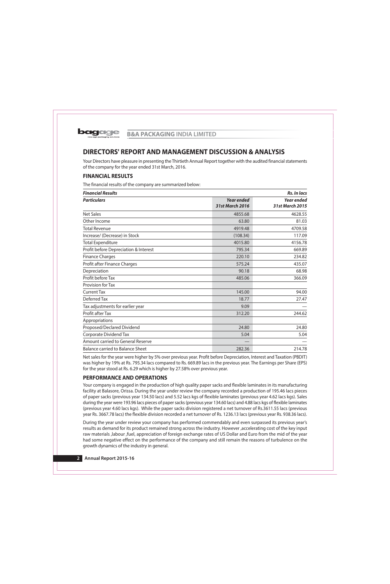

# DIRECTORS' REPORT AND MANAGEMENT DISCUSSION & ANALYSIS

Your Directors have pleasure in presenting the Thirtieth Annual Report together with the audited financial statements of the company for the year ended 31st March, 2016.

# **FINANCIAL RESULTS**

The financial results of the company are summarized below:

| <b>Financial Results</b>                |                                             | <b>Rs. In lacs</b>                   |
|-----------------------------------------|---------------------------------------------|--------------------------------------|
| <b>Particulars</b>                      | <b>Year ended</b><br><b>31st March 2016</b> | <b>Year ended</b><br>31st March 2015 |
| <b>Net Sales</b>                        | 4855.68                                     | 4628.55                              |
| Other Income                            | 63.80                                       | 81.03                                |
| <b>Total Revenue</b>                    | 4919.48                                     | 4709.58                              |
| Increase/ (Decrease) in Stock           | (108.34)                                    | 117.09                               |
| <b>Total Expenditure</b>                | 4015.80                                     | 4156.78                              |
| Profit before Depreciation & Interest   | 795.34                                      | 669.89                               |
| <b>Finance Charges</b>                  | 220.10                                      | 234.82                               |
| Profit after Finance Charges            | 575.24                                      | 435.07                               |
| Depreciation                            | 90.18                                       | 68.98                                |
| Profit before Tax                       | 485.06                                      | 366.09                               |
| Provision for Tax                       |                                             |                                      |
| <b>Current Tax</b>                      | 145.00                                      | 94.00                                |
| Deferred Tax                            | 18.77                                       | 27.47                                |
| Tax adjustments for earlier year        | 9.09                                        |                                      |
| Profit after Tax                        | 312.20                                      | 244.62                               |
| Appropriations                          |                                             |                                      |
| Proposed/Declared Dividend              | 24.80                                       | 24.80                                |
| <b>Corporate Dividend Tax</b>           | 5.04                                        | 5.04                                 |
| Amount carried to General Reserve       |                                             |                                      |
| <b>Balance carried to Balance Sheet</b> | 282.36                                      | 214.78                               |

Net sales for the year were higher by 5% over previous year. Profit before Depreciation, Interest and Taxation (PBDIT) was higher by 19% at Rs. 795.34 lacs compared to Rs. 669.89 lacs in the previous year. The Earnings per Share (EPS) for the year stood at Rs. 6.29 which is higher by 27.58% over previous year.

# **PERFORMANCE AND OPERATIONS**

Your company is engaged in the production of high quality paper sacks and flexible laminates in its manufacturing facility at Balasore, Orissa. During the year under review the company recorded a production of 195.46 lacs pieces of paper sacks (previous year 134.50 lacs) and 5.52 lacs kgs of flexible laminates (previous year 4.62 lacs kgs). Sales during the year were 193.96 lacs pieces of paper sacks (previous year 134.60 lacs) and 4.88 lacs kgs of flexible laminates (previous year 4.60 lacs kgs). While the paper sacks division registered a net turnover of Rs.3611.55 lacs (previous year Rs. 3667.78 lacs) the flexible division recorded a net turnover of Rs. 1236.13 lacs (previous year Rs. 938.36 lacs).

During the year under review your company has performed commendably and even surpassed its previous year's results as demand for its product remained strong across the industry. However ,accelerating cost of the key input raw materials , labour , fuel, appreciation of foreign exchange rates of US Dollar and Euro from the mid of the year had some negative effect on the performance of the company and still remain the reasons of turbulence on the growth dynamics of the industry in general.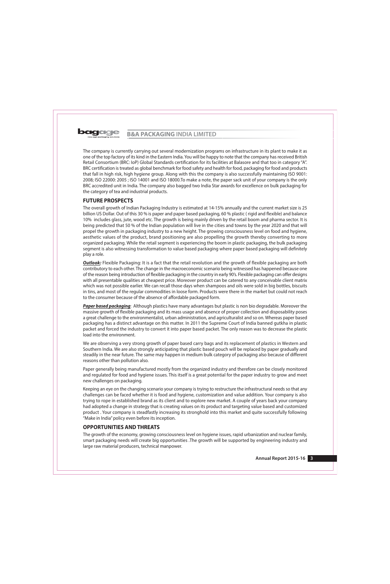

The company is currently carrying out several modernization programs on infrastructure in its plant to make it as one of the top factory of its kind in the Eastern India. You will be happy to note that the company has received British Retail Consortium (BRC: IoP) Global Standards certification for its facilities at Balasore and that too in category "A". BRC certification is treated as global benchmark for food safety and health for food, packaging for food and products that fall in high risk, high hygiene group. Along with this the company is also successfully maintaining ISO 9001: 2008; ISO 22000: 2005 ; ISO 14001 and ISO 18000. To make a note, the paper sack unit of your company is the only BRC accredited unit in India. The company also bagged two India Star awards for excellence on bulk packaging for the category of tea and industrial products.

# **FUTURE PROSPECTS**

The overall growth of Indian Packaging Industry is estimated at 14-15% annually and the current market size is 25 billion US Dollar. Out of this 30 % is paper and paper based packaging, 60 % plastic (rigid and flexible) and balance 10% includes glass, jute, wood etc. The growth is being mainly driven by the retail boom and pharma sector. It is being predicted that 50 % of the Indian population will live in the cities and towns by the year 2020 and that will propel the growth in packaging industry to a new height. The growing consciousness level on food and hygiene, aesthetic values of the product, brand positioning are also propelling the growth thereby converting to more organized packaging. While the retail segment is experiencing the boom in plastic packaging, the bulk packaging segment is also witnessing transformation to value based packaging where paper based packaging will definitely play a role.

**Outlook:** Flexible Packaging: It is a fact that the retail revolution and the growth of flexible packaging are both contributory to each other. The change in the macroeconomic scenario being witnessed has happened because one of the reason being introduction of flexible packaging in the country in early 90's. Flexible packaging can offer designs with all presentable qualities at cheapest price. Moreover product can be catered to any conceivable client matrix which was not possible earlier. We can recall those days when shampoos and oils were sold in big bottles, biscuits in tins, and most of the regular commodities in loose form. Products were there in the market but could not reach to the consumer because of the absence of affordable packaged form.

Paper based packaging: Although plastics have many advantages but plastic is non bio degradable. Moreover the massive growth of flexible packaging and its mass usage and absence of proper collection and disposability poses a great challenge to the environmentalist, urban administration, and agriculturalist and so on. Whereas paper based packaging has a distinct advantage on this matter. In 2011 the Supreme Court of India banned gutkha in plastic packet and forced the industry to convert it into paper based packet. The only reason was to decrease the plastic load into the environment.

We are observing a very strong growth of paper based carry bags and its replacement of plastics in Western and Southern India. We are also strongly anticipating that plastic based pouch will be replaced by paper gradually and steadily in the near future. The same may happen in medium bulk category of packaging also because of different reasons other than pollution also.

Paper generally being manufactured mostly from the organized industry and therefore can be closely monitored and regulated for food and hygiene issues. This itself is a great potential for the paper industry to grow and meet new challenges on packaging.

Keeping an eye on the changing scenario your company is trying to restructure the infrastructural needs so that any challenges can be faced whether it is food and hygiene, customization and value addition. Your company is also trying to rope in established brand as its client and to explore new market. A couple of years back your company had adopted a change in strategy that is creating values on its product and targeting value based and customized product. Your company is steadfastly increasing its stronghold into this market and quite successfully following "Make in India" policy even before its inception.

# **OPPORTUNITIES AND THREATS**

The growth of the economy, growing consciousness level on hygiene issues, rapid urbanization and nuclear family, smart packaging needs will create big opportunities .The growth will be supported by engineering industry and large raw material producers, technical manpower.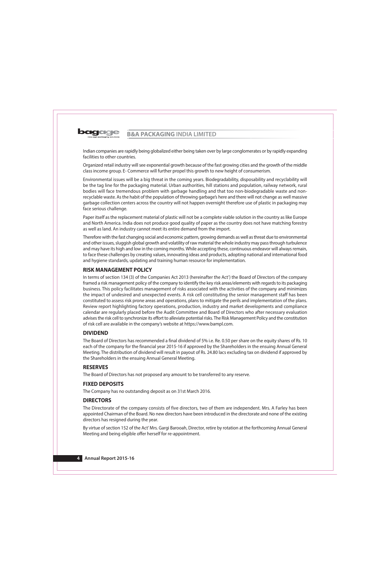Indian companies are rapidly being globalized either being taken over by large conglomerates or by rapidly expanding facilities to other countries.

Organized retail industry will see exponential growth because of the fast growing cities and the growth of the middle class income group. E- Commerce will further propel this growth to new height of consumerism.

Environmental issues will be a big threat in the coming years. Biodegradability, disposability and recyclability will be the tag line for the packaging material. Urban authorities, hill stations and population, railway network, rural bodies will face tremendous problem with garbage handling and that too non-biodegradable waste and nonrecyclable waste. As the habit of the population of throwing garbage's here and there will not change as well massive garbage collection centers across the country will not happen overnight therefore use of plastic in packaging may face serious challenge.

Paper itself as the replacement material of plastic will not be a complete viable solution in the country as like Europe and North America. India does not produce good quality of paper as the country does not have matching forestry as well as land. An industry cannot meet its entire demand from the import.

Therefore with the fast changing social and economic pattern, growing demands as well as threat due to environmental and other issues, sluggish global growth and volatility of raw material the whole industry may pass through turbulence and may have its high and low in the coming months. While accepting these, continuous endeavor will always remain, to face these challenges by creating values, innovating ideas and products, adopting national and international food and hygiene standards, updating and training human resource for implementation.

# **RISK MANAGEMENT POLICY**

In terms of section 134 (3) of the Companies Act 2013 (hereinafter the Act') the Board of Directors of the company framed a risk management policy of the company to identify the key risk areas/elements with regards to its packaging business. This policy facilitates management of risks associated with the activities of the company and minimizes the impact of undesired and unexpected events. A risk cell constituting the senior management staff has been constituted to assess risk prone areas and operations, plans to mitigate the perils and implementation of the plans. Review report highlighting factory operations, production, industry and market developments and compliance calendar are regularly placed before the Audit Committee and Board of Directors who after necessary evaluation advises the risk cell to synchronize its effort to alleviate potential risks. The Risk Management Policy and the constitution of risk cell are available in the company's website at https://www.bampl.com.

# **DIVIDEND**

The Board of Directors has recommended a final dividend of 5% i.e. Re. 0.50 per share on the equity shares of Rs. 10 each of the company for the financial year 2015-16 if approved by the Shareholders in the ensuing Annual General Meeting. The distribution of dividend will result in payout of Rs. 24.80 lacs excluding tax on dividend if approved by the Shareholders in the ensuing Annual General Meeting.

# **RESERVES**

The Board of Directors has not proposed any amount to be transferred to any reserve.

# **FIXED DEPOSITS**

The Company has no outstanding deposit as on 31st March 2016.

# **DIRECTORS**

The Directorate of the company consists of five directors, two of them are independent. Mrs. A Farley has been appointed Chairman of the Board. No new directors have been introduced in the directorate and none of the existing directors has resigned during the year.

By virtue of section 152 of the Act' Mrs. Gargi Barooah, Director, retire by rotation at the forthcoming Annual General Meeting and being eligible offer herself for re-appointment.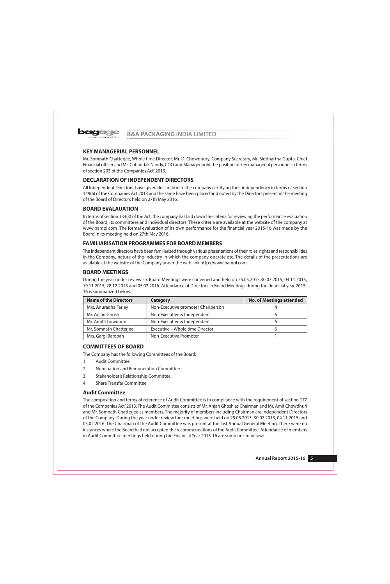

# **KEY MANAGERIAL PERSONNEL**

Mr. Somnath Chatterjee, Whole time Director, Mr. D. Chowdhury, Company Secretary, Mr. Siddhartha Gupta, Chief Financial officer and Mr. Chhandak Nandy, COO and Manager hold the position of key managerial personnel in terms of section 203 of the Companies Act' 2013.

# **DECLARATION OF INDEPENDENT DIRECTORS**

All Independent Directors have given declaration to the company certifying their independency in terms of section 149(6) of the Companies Act, 2013 and the same have been placed and noted by the Directors present in the meeting of the Board of Directors held on 27th May 2016.

# **BOARD EVALAUATION**

In terms of section 134(3) of the Act, the company has laid down the criteria for reviewing the performance evaluation of the Board, its committees and individual directors. These criteria are available at the website of the company at www.bampl.com .The formal evaluation of its own performance for the financial year 2015-16 was made by the Board in its meeting held on 27th May 2016.

# **FAMILIARISATION PROGRAMMES FOR BOARD MEMBERS**

The Independent directors have been familiarized through various presentations of their roles, rights and responsibilities in the Company, nature of the industry in which the company operate etc. The details of the presentations are available at the website of the Company under the web link http://www.bampl.com.

# **BOARD MEETINGS**

During the year under review six Board Meetings were convened and held on 25.05.2015,30.07.2015, 04.11.2015, 19.11.2015, 28.12.2015 and 05.02.2016. Attendance of Directors in Board Meetings during the financial year 2015-16 is summarized below:

| <b>Name of the Directors</b> | Category                           | <b>No. of Meetings attended</b> |
|------------------------------|------------------------------------|---------------------------------|
| Mrs. Anuradha Farley         | Non-Executive promoter Chairperson |                                 |
| Mr. Anjan Ghosh              | Non-Executive & Independent        |                                 |
| Mr. Amit Chowdhuri           | Non-Executive & Independent        |                                 |
| Mr. Somnath Chatterjee       | Executive - Whole time Director    |                                 |
| Mrs. Gargi Barooah           | Non-Executive Promoter             |                                 |

# **COMMITTEES OF BOARD**

The Company has the following Committees of the Board:

- **Audit Committee**  $1.$
- $\overline{2}$ . Nomination and Remuneration Committee
- $3.$ Stakeholder's Relationship Committee
- 4. **Share Transfer Committee**

# **Audit Committee**

The composition and terms of reference of Audit Committee is in compliance with the requirement of section 177 of the Companies Act' 2013. The Audit Committee consists of Mr. Anjan Ghosh as Chairman and Mr. Amit Chowdhuri and Mr. Somnath Chatterjee as members. The majority of members including Chairman are Independent Directors of the Company. During the year under review four meetings were held on 25.05.2015, 30.07.2015, 04.11.2015 and 05.02.2016. The Chairman of the Audit Committee was present at the last Annual General Meeting. There were no instances where the Board had not accepted the recommendations of the Audit Committee. Attendance of members in Audit Committee meetings held during the Financial Year 2015-16 are summarized below: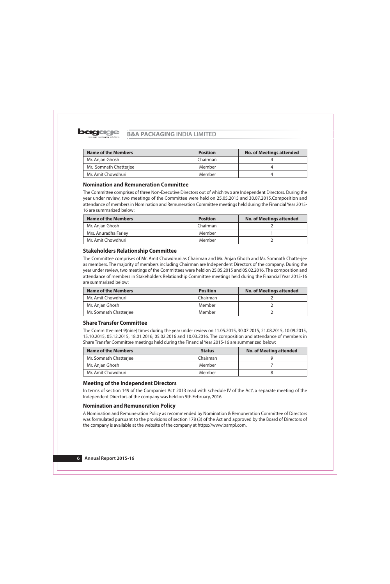

| <b>Name of the Members</b> | <b>Position</b> | <b>No. of Meetings attended</b> |  |  |
|----------------------------|-----------------|---------------------------------|--|--|
| Mr. Anjan Ghosh            | Chairman        |                                 |  |  |
| Mr. Somnath Chatterjee     | Member          |                                 |  |  |
| Mr. Amit Chowdhuri         | Member          |                                 |  |  |

# **Nomination and Remuneration Committee**

The Committee comprises of three Non-Executive Directors out of which two are Independent Directors. During the year under review, two meetings of the Committee were held on 25.05.2015 and 30.07.2015. Composition and attendance of members in Nomination and Remuneration Committee meetings held during the Financial Year 2015-16 are summarized below:

| <b>Name of the Members</b> | <b>Position</b> | <b>No. of Meetings attended</b> |  |  |
|----------------------------|-----------------|---------------------------------|--|--|
| Mr. Anjan Ghosh            | Chairman        |                                 |  |  |
| Mrs. Anuradha Farley       | Member          |                                 |  |  |
| Mr. Amit Chowdhuri         | Member          |                                 |  |  |

# **Stakeholders Relationship Committee**

The Committee comprises of Mr. Amit Chowdhuri as Chairman and Mr. Anjan Ghosh and Mr. Somnath Chatterjee as members. The majority of members including Chairman are Independent Directors of the company. During the year under review, two meetings of the Committees were held on 25.05.2015 and 05.02.2016. The composition and attendance of members in Stakeholders Relationship Committee meetings held during the Financial Year 2015-16 are summarized below:

| <b>Name of the Members</b> | <b>Position</b> | <b>No. of Meetings attended</b> |
|----------------------------|-----------------|---------------------------------|
| Mr. Amit Chowdhuri         | Chairman        |                                 |
| Mr. Anjan Ghosh            | Member          |                                 |
| Mr. Somnath Chatterjee     | Member          |                                 |

# **Share Transfer Committee**

The Committee met 9(nine) times during the year under review on 11.05.2015, 30.07.2015, 21.08.2015, 10.09.2015, 15.10.2015, 05.12.2015, 18.01.2016, 05.02.2016 and 10.03.2016. The composition and attendance of members in Share Transfer Committee meetings held during the Financial Year 2015-16 are summarized below:

| <b>Name of the Members</b> | <b>Status</b> | <b>No. of Meeting attended</b> |  |  |
|----------------------------|---------------|--------------------------------|--|--|
| Mr. Somnath Chatterjee     | Chairman      |                                |  |  |
| Mr. Anjan Ghosh            | Member        |                                |  |  |
| Mr. Amit Chowdhuri         | Member        |                                |  |  |

# **Meeting of the Independent Directors**

In terms of section 149 of the Companies Act' 2013 read with schedule IV of the Act', a separate meeting of the Independent Directors of the company was held on 5th February, 2016.

# **Nomination and Remuneration Policy**

A Nomination and Remuneration Policy as recommended by Nomination & Remuneration Committee of Directors was formulated pursuant to the provisions of section 178 (3) of the Act and approved by the Board of Directors of the company is available at the website of the company at https://www.bampl.com.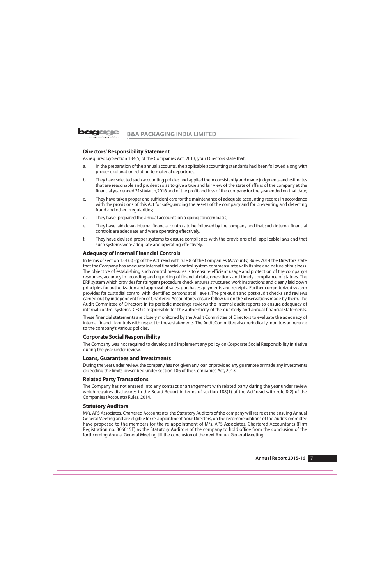

# **Directors' Responsibility Statement**

As required by Section 134(5) of the Companies Act, 2013, your Directors state that:

- a. In the preparation of the annual accounts, the applicable accounting standards had been followed along with proper explanation relating to material departures;
- They have selected such accounting policies and applied them consistently and made judgments and estimates b. that are reasonable and prudent so as to give a true and fair view of the state of affairs of the company at the financial year ended 31st March, 2016 and of the profit and loss of the company for the year ended on that date;
- They have taken proper and sufficient care for the maintenance of adequate accounting records in accordance C. with the provisions of this Act for safeguarding the assets of the company and for preventing and detecting fraud and other irregularities;
- d. They have prepared the annual accounts on a going concern basis;
- e. They have laid down internal financial controls to be followed by the company and that such internal financial controls are adequate and were operating effectively.
- They have devised proper systems to ensure compliance with the provisions of all applicable laws and that  $f_{\cdot}$ such systems were adequate and operating effectively.

# **Adequacy of Internal Financial Controls**

In terms of section 134 (3) (q) of the Act' read with rule 8 of the Companies (Accounts) Rules 2014 the Directors state that the Company has adequate internal financial control system commensurate with its size and nature of business. The objective of establishing such control measures is to ensure efficient usage and protection of the company's resources, accuracy in recording and reporting of financial data, operations and timely compliance of statues. The ERP system which provides for stringent procedure check ensures structured work instructions and clearly laid down principles for authorization and approval of sales, purchases, payments and receipts. Further computerized system provides for custodial control with identified persons at all levels. The pre-audit and post-audit checks and reviews carried out by independent firm of Chartered Accountants ensure follow up on the observations made by them. The Audit Committee of Directors in its periodic meetings reviews the internal audit reports to ensure adequacy of internal control systems. CFO is responsible for the authenticity of the quarterly and annual financial statements.

These financial statements are closely monitored by the Audit Committee of Directors to evaluate the adequacy of internal financial controls with respect to these statements. The Audit Committee also periodically monitors adherence to the company's various policies.

# **Corporate Social Responsibility**

The Company was not required to develop and implement any policy on Corporate Social Responsibility initiative during the year under review.

# **Loans, Guarantees and Investments**

During the year under review, the company has not given any loan or provided any quarantee or made any investments exceeding the limits prescribed under section 186 of the Companies Act, 2013.

# **Related Party Transactions**

The Company has not entered into any contract or arrangement with related party during the year under review which requires disclosures in the Board Report in terms of section 188(1) of the Act' read with rule 8(2) of the Companies (Accounts) Rules, 2014.

# **Statutory Auditors**

M/s. APS Associates, Chartered Accountants, the Statutory Auditors of the company will retire at the ensuing Annual General Meeting and are eligible for re-appointment. Your Directors, on the recommendations of the Audit Committee have proposed to the members for the re-appointment of M/s. APS Associates, Chartered Accountants (Firm Registration no. 306015E) as the Statutory Auditors of the company to hold office from the conclusion of the forthcoming Annual General Meeting till the conclusion of the next Annual General Meeting.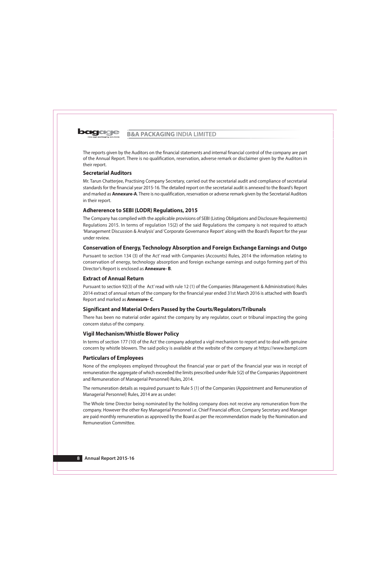

The reports given by the Auditors on the financial statements and internal financial control of the company are part of the Annual Report. There is no qualification, reservation, adverse remark or disclaimer given by the Auditors in their report.

# **Secretarial Auditors**

Mr. Tarun Chatterjee, Practising Company Secretary, carried out the secretarial audit and compliance of secretarial standards for the financial year 2015-16. The detailed report on the secretarial audit is annexed to the Board's Report and marked as **Annexure-A**. There is no qualification, reservation or adverse remark given by the Secretarial Auditors in their report.

# **Adhererence to SEBI (LODR) Regulations, 2015**

The Company has complied with the applicable provisions of SEBI (Listing Obligations and Disclosure Requirements) Regulations 2015. In terms of regulation 15(2) of the said Regulations the company is not required to attach 'Management Discussion & Analysis' and 'Corporate Governance Report' along with the Board's Report for the year under review.

# **Conservation of Energy, Technology Absorption and Foreign Exchange Earnings and Outgo**

Pursuant to section 134 (3) of the Act' read with Companies (Accounts) Rules, 2014 the information relating to conservation of energy, technology absorption and foreign exchange earnings and outgo forming part of this Director's Report is enclosed as **Annexure-B.** 

# **Extract of Annual Return**

Pursuant to section 92(3) of the Act' read with rule 12 (1) of the Companies (Management & Administration) Rules 2014 extract of annual return of the company for the financial year ended 31st March 2016 is attached with Board's Report and marked as **Annexure-C.** 

# Significant and Material Orders Passed by the Courts/Regulators/Tribunals

There has been no material order against the company by any regulator, court or tribunal impacting the going concern status of the company.

# **Vigil Mechanism/Whistle Blower Policy**

In terms of section 177 (10) of the Act' the company adopted a vigil mechanism to report and to deal with genuine concern by whistle blowers. The said policy is available at the website of the company at https://www.bampl.com

# **Particulars of Employees**

None of the employees employed throughout the financial year or part of the financial year was in receipt of remuneration the aggregate of which exceeded the limits prescribed under Rule 5(2) of the Companies (Appointment and Remuneration of Managerial Personnel) Rules, 2014.

The remuneration details as required pursuant to Rule 5 (1) of the Companies (Appointment and Remuneration of Managerial Personnel) Rules, 2014 are as under:

The Whole time Director being nominated by the holding company does not receive any remuneration from the company. However the other Key Managerial Personnel i.e. Chief Financial officer, Company Secretary and Manager are paid monthly remuneration as approved by the Board as per the recommendation made by the Nomination and Remuneration Committee.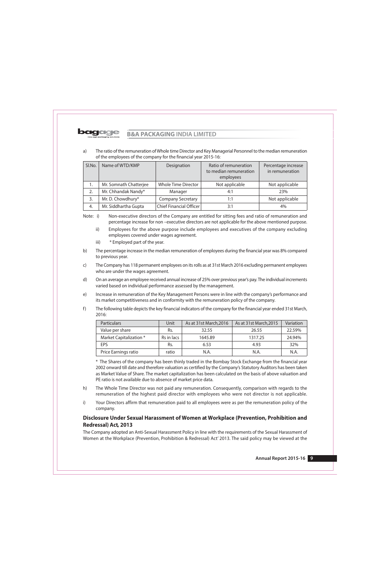

The ratio of the remuneration of Whole time Director and Key Managerial Personnel to the median remuneration a) of the employees of the company for the financial year 2015-16:

| SI.No. | Name of WTD/KMP        | Designation              | Ratio of remuneration<br>to median remuneration<br>employees | Percentage increase<br>in remuneration |  |
|--------|------------------------|--------------------------|--------------------------------------------------------------|----------------------------------------|--|
| Ι.     | Mr. Somnath Chatterjee | Whole Time Director      | Not applicable                                               | Not applicable                         |  |
|        | Mr. Chhandak Nandy*    | Manager                  | 4:1                                                          | 23%                                    |  |
| 3.     | Mr. D. Chowdhury*      | <b>Company Secretary</b> | 1:1                                                          | Not applicable                         |  |
| 4.     | Mr. Siddhartha Gupta   | Chief Financial Officer  | 3:1                                                          | 4%                                     |  |

Note: i) Non-executive directors of the Company are entitled for sitting fees and ratio of remuneration and percentage increase for non-executive directors are not applicable for the above mentioned purpose.

- $\mathsf{ii}$ Employees for the above purpose include employees and executives of the company excluding employees covered under wages agreement.
- iii) \* Employed part of the year.
- The percentage increase in the median remuneration of employees during the financial year was 8% compared  $b)$ to previous year.
- The Company has 118 permanent employees on its rolls as at 31st March 2016 excluding permanent employees  $\mathsf{C}$ who are under the wages agreement.
- On an average an employee received annual increase of 25% over previous year's pay. The individual increments  $d)$ varied based on individual performance assessed by the management.
- Increase in remuneration of the Key Management Persons were in line with the company's performance and  $e)$ its market competitiveness and in conformity with the remuneration policy of the company.
- $f$ ) The following table depicts the key financial indicators of the company for the financial year ended 31st March, 2016:

| <b>Particulars</b>      | Unit <sup>-</sup> | As at 31st March, 2016 | As at 31st March, 2015 | Variation |
|-------------------------|-------------------|------------------------|------------------------|-----------|
| Value per share         | Rs.               | 32.55                  | 26.55                  | 22.59%    |
| Market Capitalization * | Rs in lacs        | 1645.89                | 1317.25                | 24.94%    |
| <b>FPS</b>              | Rs.               | 6.53                   | 4.93                   | 32%       |
| Price Earnings ratio    | ratio             | N.A.                   | N.A.                   | N.A       |

\* The Shares of the company has been thinly traded in the Bombay Stock Exchange from the financial year 2002 onward till date and therefore valuation as certified by the Company's Statutory Auditors has been taken as Market Value of Share. The market capitalization has been calculated on the basis of above valuation and PE ratio is not available due to absence of market price data.

- $h)$ The Whole Time Director was not paid any remuneration. Consequently, comparison with regards to the remuneration of the highest paid director with employees who were not director is not applicable.
- Your Directors affirm that remuneration paid to all employees were as per the remuneration policy of the  $i)$ company.

# Disclosure Under Sexual Harassment of Women at Workplace (Prevention, Prohibition and Redressal) Act, 2013

The Company adopted an Anti-Sexual Harassment Policy in line with the requirements of the Sexual Harassment of Women at the Workplace (Prevention, Prohibition & Redressal) Act' 2013. The said policy may be viewed at the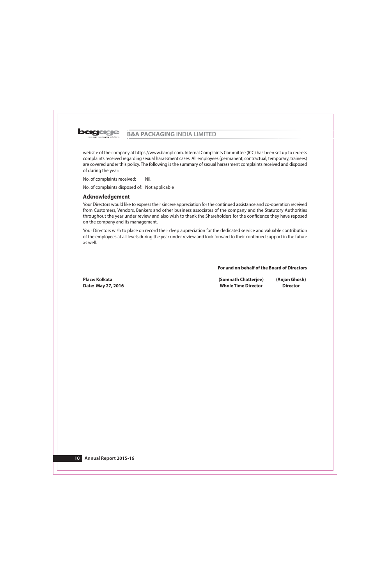

website of the company at https://www.bampl.com. Internal Complaints Committee (ICC) has been set up to redress complaints received regarding sexual harassment cases. All employees (permanent, contractual, temporary, trainees) are covered under this policy. The following is the summary of sexual harassment complaints received and disposed of during the year:

No. of complaints received: Nil.

No. of complaints disposed of: Not applicable

# **Acknowledgement**

Your Directors would like to express their sincere appreciation for the continued assistance and co-operation received from Customers, Vendors, Bankers and other business associates of the company and the Statutory Authorities throughout the year under review and also wish to thank the Shareholders for the confidence they have reposed on the company and its management.

Your Directors wish to place on record their deep appreciation for the dedicated service and valuable contribution of the employees at all levels during the year under review and look forward to their continued support in the future as well.

## For and on behalf of the Board of Directors

Place: Kolkata Date: May 27, 2016 (Somnath Chatterjee) (Anjan Ghosh) **Whole Time Director Director**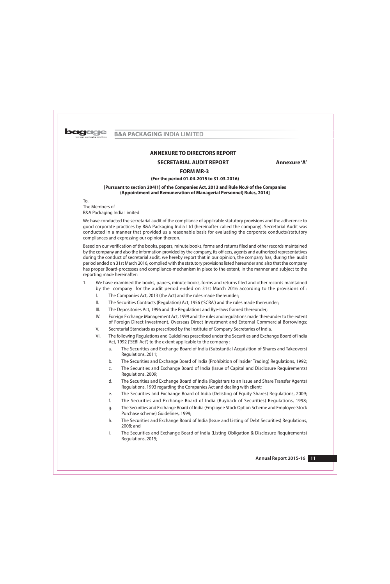

# **ANNEXURE TO DIRECTORS REPORT**

# **SECRETARIAL AUDIT REPORT**

Annexure 'A'

# **FORM MR-3**

## (For the period 01-04-2015 to 31-03-2016)

## [Pursuant to section 204(1) of the Companies Act, 2013 and Rule No.9 of the Companies (Appointment and Remuneration of Managerial Personnel) Rules, 2014]

 $To.$ The Members of B&A Packaging India Limited

We have conducted the secretarial audit of the compliance of applicable statutory provisions and the adherence to good corporate practices by B&A Packaging India Ltd (hereinafter called the company). Secretarial Audit was conducted in a manner that provided us a reasonable basis for evaluating the corporate conducts/statutory compliances and expressing our opinion thereon.

Based on our verification of the books, papers, minute books, forms and returns filed and other records maintained by the company and also the information provided by the company, its officers, agents and authorized representatives during the conduct of secretarial audit, we hereby report that in our opinion, the company has, during the audit period ended on 31st March 2016, complied with the statutory provisions listed hereunder and also that the company has proper Board-processes and compliance-mechanism in place to the extent, in the manner and subject to the reporting made hereinafter:

- $1.$ We have examined the books, papers, minute books, forms and returns filed and other records maintained by the company for the audit period ended on 31st March 2016 according to the provisions of :
	- $\mathsf{L}$ The Companies Act, 2013 (the Act) and the rules made thereunder;
	- $\parallel$ . The Securities Contracts (Regulation) Act, 1956 ('SCRA') and the rules made thereunder;
	- $III.$ The Depositories Act, 1996 and the Regulations and Bye-laws framed thereunder;
	- IV. Foreign Exchange Management Act, 1999 and the rules and regulations made thereunder to the extent of Foreign Direct Investment, Overseas Direct Investment and External Commercial Borrowings;
	- V. Secretarial Standards as prescribed by the Institute of Company Secretaries of India.
	- $VI.$ The following Regulations and Guidelines prescribed under the Securities and Exchange Board of India Act, 1992 ('SEBI Act') to the extent applicable to the company :
		- $a.$ The Securities and Exchange Board of India (Substantial Acquisition of Shares and Takeovers) Regulations, 2011;
		- The Securities and Exchange Board of India (Prohibition of Insider Trading) Regulations, 1992;  $b.$
		- The Securities and Exchange Board of India (Issue of Capital and Disclosure Requirements) C. Regulations, 2009;
		- $d.$ The Securities and Exchange Board of India (Registrars to an Issue and Share Transfer Agents) Regulations, 1993 regarding the Companies Act and dealing with client;
		- The Securities and Exchange Board of India (Delisting of Equity Shares) Regulations, 2009; e.
		- f. The Securities and Exchange Board of India (Buyback of Securities) Regulations, 1998;
		- The Securities and Exchange Board of India (Employee Stock Option Scheme and Employee Stock q. Purchase scheme) Guidelines, 1999;
		- The Securities and Exchange Board of India (Issue and Listing of Debt Securities) Regulations, h. 2008; and
		- The Securities and Exchange Board of India (Listing Obligation & Disclosure Requirements)  $i$ . Regulations, 2015;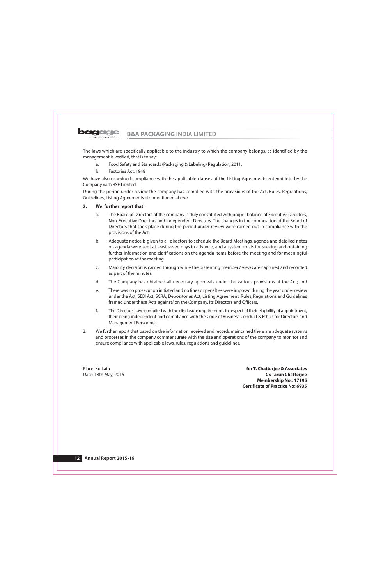The laws which are specifically applicable to the industry to which the company belongs, as identified by the

- management is verified, that is to say:
	- a. Food Safety and Standards (Packaging & Labeling) Regulation, 2011.
	- $h_{\cdot}$ Factories Act. 1948

We have also examined compliance with the applicable clauses of the Listing Agreements entered into by the Company with BSE Limited.

During the period under review the company has complied with the provisions of the Act, Rules, Regulations, Guidelines, Listing Agreements etc. mentioned above.

#### $2.$ We further report that:

- The Board of Directors of the company is duly constituted with proper balance of Executive Directors, a. Non-Executive Directors and Independent Directors. The changes in the composition of the Board of Directors that took place during the period under review were carried out in compliance with the provisions of the Act.
- $b.$ Adequate notice is given to all directors to schedule the Board Meetings, agenda and detailed notes on agenda were sent at least seven days in advance, and a system exists for seeking and obtaining further information and clarifications on the agenda items before the meeting and for meaningful participation at the meeting.
- $\mathsf{C}$ . Majority decision is carried through while the dissenting members' views are captured and recorded as part of the minutes.
- d. The Company has obtained all necessary approvals under the various provisions of the Act; and
- There was no prosecution initiated and no fines or penalties were imposed during the year under review e. under the Act, SEBI Act, SCRA, Depositories Act, Listing Agreement, Rules, Regulations and Guidelines framed under these Acts against/ on the Company, its Directors and Officers.
- $f_{1}$ The Directors have complied with the disclosure requirements in respect of their eligibility of appointment, their being independent and compliance with the Code of Business Conduct & Ethics for Directors and Management Personnel;
- We further report that based on the information received and records maintained there are adequate systems  $\overline{3}$ . and processes in the company commensurate with the size and operations of the company to monitor and ensure compliance with applicable laws, rules, regulations and guidelines.

Place: Kolkata Date: 18th May, 2016

for T. Chatterjee & Associates **CS Tarun Chatteriee Membership No.: 17195 Certificate of Practice No: 6935**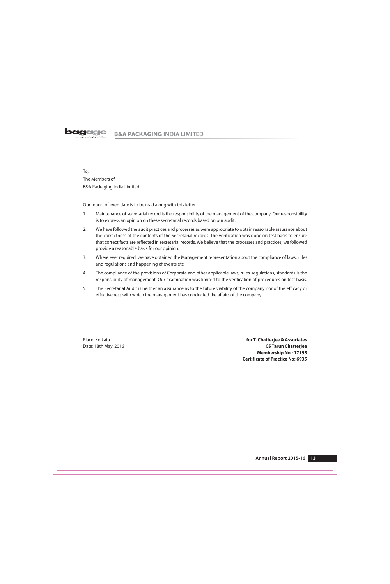

To. The Members of B&A Packaging India Limited

Our report of even date is to be read along with this letter.

- $1.$ Maintenance of secretarial record is the responsibility of the management of the company. Our responsibility is to express an opinion on these secretarial records based on our audit.
- $2.$ We have followed the audit practices and processes as were appropriate to obtain reasonable assurance about the correctness of the contents of the Secretarial records. The verification was done on test basis to ensure that correct facts are reflected in secretarial records. We believe that the processes and practices, we followed provide a reasonable basis for our opinion.
- $3.$ Where ever required, we have obtained the Management representation about the compliance of laws, rules and regulations and happening of events etc.
- $4.$ The compliance of the provisions of Corporate and other applicable laws, rules, regulations, standards is the responsibility of management. Our examination was limited to the verification of procedures on test basis.
- 5. The Secretarial Audit is neither an assurance as to the future viability of the company nor of the efficacy or effectiveness with which the management has conducted the affairs of the company.

Place: Kolkata Date: 18th May, 2016

for T. Chatterjee & Associates **CS Tarun Chatteriee Membership No.: 17195 Certificate of Practice No: 6935**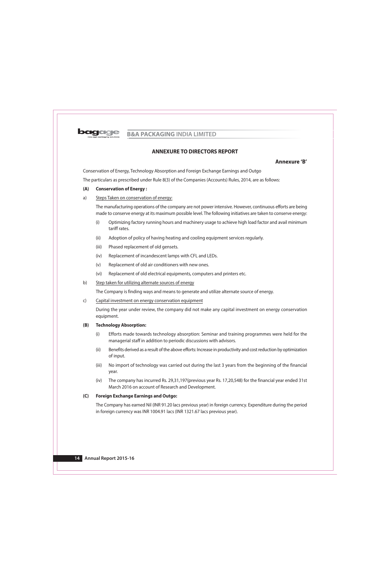

# **ANNEXURE TO DIRECTORS REPORT**

# Annexure 'B'

Conservation of Energy, Technology Absorption and Foreign Exchange Earnings and Outgo

The particulars as prescribed under Rule 8(3) of the Companies (Accounts) Rules, 2014, are as follows:

#### $(A)$ **Conservation of Energy:**

#### Steps Taken on conservation of energy:  $a)$

The manufacturing operations of the company are not power intensive. However, continuous efforts are being made to conserve energy at its maximum possible level. The following initiatives are taken to conserve energy:

- $(i)$ Optimizing factory running hours and machinery usage to achieve high load factor and avail minimum tariff rates.
- $(ii)$ Adoption of policy of having heating and cooling equipment services regularly.
- Phased replacement of old gensets.  $(iii)$
- Replacement of incandescent lamps with CFL and LEDs.  $(iv)$
- $(v)$ Replacement of old air conditioners with new ones.
- $(vi)$ Replacement of old electrical equipments, computers and printers etc.

#### $b)$ Step taken for utilizing alternate sources of energy

The Company is finding ways and means to generate and utilize alternate source of energy.

#### $\mathsf{C}$ Capital investment on energy conservation equipment

During the year under review, the company did not make any capital investment on energy conservation equipment.

#### $(B)$ **Technology Absorption:**

- Efforts made towards technology absorption: Seminar and training programmes were held for the  $(i)$ managerial staff in addition to periodic discussions with advisors.
- Benefits derived as a result of the above efforts: Increase in productivity and cost reduction by optimization  $(ii)$ of input.
- $(iii)$ No import of technology was carried out during the last 3 years from the beginning of the financial year.
- $(iv)$ The company has incurred Rs. 29,31,197 (previous year Rs. 17,20,548) for the financial year ended 31st March 2016 on account of Research and Development.

#### $(C)$ **Foreign Exchange Earnings and Outgo:**

The Company has earned Nil (INR 91.20 lacs previous year) in foreign currency. Expenditure during the period in foreign currency was INR 1004.91 lacs (INR 1321.67 lacs previous year).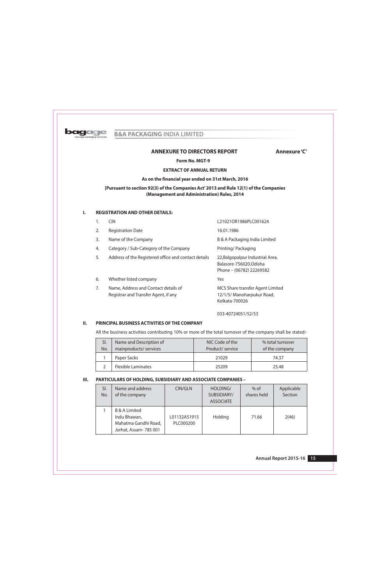

# **ANNEXURE TO DIRECTORS REPORT**

# Annexure 'C'

Form No. MGT-9

# **EXTRACT OF ANNUAL RETURN**

## As on the financial year ended on 31st March, 2016

# [Pursuant to section 92(3) of the Companies Act' 2013 and Rule 12(1) of the Companies (Management and Administration) Rules, 2014

#### **REGISTRATION AND OTHER DETAILS:**  $\mathbf{I}$ .

| 1. | <b>CIN</b>                                                                   | L21021OR1986PLC001624                                                                   |
|----|------------------------------------------------------------------------------|-----------------------------------------------------------------------------------------|
| 2. | <b>Registration Date</b>                                                     | 16.01.1986                                                                              |
| 3. | Name of the Company                                                          | B & A Packaging India Limited                                                           |
| 4. | Category / Sub-Category of the Company                                       | Printing/Packaging                                                                      |
| 5. | Address of the Registered office and contact details                         | 22, Balgopalpur Industrial Area,<br>Balasore-756020, Odisha<br>Phone - (06782) 22269582 |
| 6. | Whether listed company                                                       | Yes                                                                                     |
| 7. | Name, Address and Contact details of<br>Registrar and Transfer Agent, if any | <b>MCS Share transfer Agent Limited</b><br>12/1/5/ Manoharpukur Road,<br>Kolkata-700026 |
|    |                                                                              |                                                                                         |

033-40724051/52/53

#### $II.$ PRINCIPAL BUSINESS ACTIVITIES OF THE COMPANY

All the business activities contributing 10% or more of the total turnover of the company shall be stated:-

| SI. | Name and Description of   | NIC Code of the  | % total turnover |  |  |
|-----|---------------------------|------------------|------------------|--|--|
| No. | mainproducts/ services    | Product/ service | of the company   |  |  |
|     | Paper Sacks               | 21029            | 74.37            |  |  |
|     | <b>Flexible Laminates</b> | 25209            | 25.48            |  |  |

#### $III.$ PARTICULARS OF HOLDING, SUBSIDIARY AND ASSOCIATE COMPANIES -

| SI.<br>No. | Name and address<br>of the company                                                        | CIN/GLN                   | HOLDING/<br>SUBSIDIARY/<br><b>ASSOCIATE</b> | $%$ of<br>shares held | Applicable<br>Section |
|------------|-------------------------------------------------------------------------------------------|---------------------------|---------------------------------------------|-----------------------|-----------------------|
|            | <b>B &amp; A Limited</b><br>Indu Bhawan,<br>Mahatma Gandhi Road,<br>Jorhat, Assam-785 001 | L01132AS1915<br>PLC000200 | Holding                                     | 71.66                 | 2(46)                 |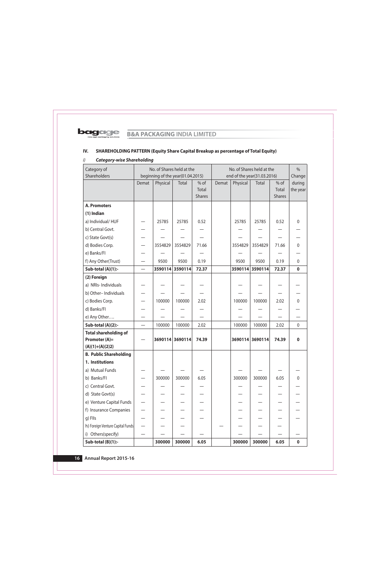

## SHAREHOLDING PATTERN (Equity Share Capital Breakup as percentage of Total Equity) IV.

## **Category-wise Shareholding**  $i)$

| Category of<br>Shareholders      |                          |          | No. of Shares held at the<br>beginning of the year(01.04.2015) |               | No. of Shares held at the<br>end of the year(31.03.2016) |                             |                 |                  | $\frac{0}{0}$    |
|----------------------------------|--------------------------|----------|----------------------------------------------------------------|---------------|----------------------------------------------------------|-----------------------------|-----------------|------------------|------------------|
|                                  | Demat                    | Physical | Total                                                          | % of          | Demat                                                    | $%$ of<br>Physical<br>Total |                 | Change<br>during |                  |
|                                  |                          |          |                                                                | Total         |                                                          |                             |                 | Total            | the year         |
|                                  |                          |          |                                                                | <b>Shares</b> |                                                          |                             |                 | <b>Shares</b>    |                  |
| <b>A. Promoters</b>              |                          |          |                                                                |               |                                                          |                             |                 |                  |                  |
| $(1)$ Indian                     |                          |          |                                                                |               |                                                          |                             |                 |                  |                  |
| a) Individual/HUF                |                          | 25785    | 25785                                                          | 0.52          |                                                          | 25785                       | 25785           | 0.52             | $\mathbf{0}$     |
| b) Central Govt.                 |                          |          |                                                                |               |                                                          |                             |                 |                  |                  |
| c) State Govt(s)                 |                          |          |                                                                |               |                                                          |                             |                 |                  |                  |
| d) Bodies Corp.                  |                          | 3554829  | 3554829                                                        | 71.66         |                                                          | 3554829                     | 3554829         | 71.66            | $\boldsymbol{0}$ |
| e) Banks/FI                      |                          |          |                                                                |               |                                                          |                             |                 |                  |                  |
| f) Any Other(Trust)              |                          | 9500     | 9500                                                           | 0.19          |                                                          | 9500                        | 9500            | 0.19             | 0                |
| Sub-total (A)(1):-               |                          |          | 3590114 3590114                                                | 72.37         |                                                          |                             | 3590114 3590114 | 72.37            | $\mathbf 0$      |
| (2) Foreign                      |                          |          |                                                                |               |                                                          |                             |                 |                  |                  |
| a) NRIs-Individuals              |                          |          |                                                                |               |                                                          |                             |                 |                  |                  |
| b) Other-Individuals             |                          |          |                                                                |               |                                                          |                             |                 |                  |                  |
| c) Bodies Corp.                  |                          | 100000   | 100000                                                         | 2.02          |                                                          | 100000                      | 100000          | 2.02             | 0                |
| d) Banks/FI                      |                          |          |                                                                |               |                                                          |                             |                 |                  |                  |
| e) Any Other                     |                          |          |                                                                |               |                                                          |                             |                 |                  |                  |
| Sub-total (A)(2):-               | $\overline{\phantom{0}}$ | 100000   | 100000                                                         | 2.02          |                                                          | 100000                      | 100000          | 2.02             | $\mathbf 0$      |
| <b>Total shareholding of</b>     |                          |          |                                                                |               |                                                          |                             |                 |                  |                  |
| Promoter (A)=                    |                          |          | 3690114 3690114                                                | 74.39         |                                                          |                             | 3690114 3690114 | 74.39            | $\mathbf 0$      |
| $(A)(1)+(A)(2)2)$                |                          |          |                                                                |               |                                                          |                             |                 |                  |                  |
| <b>B. Public Shareholding</b>    |                          |          |                                                                |               |                                                          |                             |                 |                  |                  |
| 1. Institutions                  |                          |          |                                                                |               |                                                          |                             |                 |                  |                  |
| a) Mutual Funds                  |                          |          |                                                                |               |                                                          |                             |                 |                  |                  |
| b) Banks/FI                      |                          | 300000   | 300000                                                         | 6.05          |                                                          | 300000                      | 300000          | 6.05             | $\pmb{0}$        |
| c) Central Govt.                 |                          |          |                                                                |               |                                                          |                             |                 |                  |                  |
| d) State Govt(s)                 |                          |          |                                                                |               |                                                          |                             |                 |                  |                  |
| e) Venture Capital Funds         |                          |          |                                                                |               |                                                          |                             |                 |                  |                  |
| f) Insurance Companies           |                          |          |                                                                |               |                                                          |                             |                 |                  |                  |
| g) Flls                          |                          |          |                                                                |               |                                                          |                             |                 |                  |                  |
| h) Foreign Venture Capital Funds |                          |          |                                                                |               |                                                          |                             |                 |                  |                  |
| i) Others(specify)               |                          |          |                                                                |               |                                                          |                             |                 |                  |                  |
| Sub-total (B)(1):-               |                          | 300000   | 300000                                                         | 6.05          |                                                          | 300000                      | 300000          | 6.05             | $\pmb{0}$        |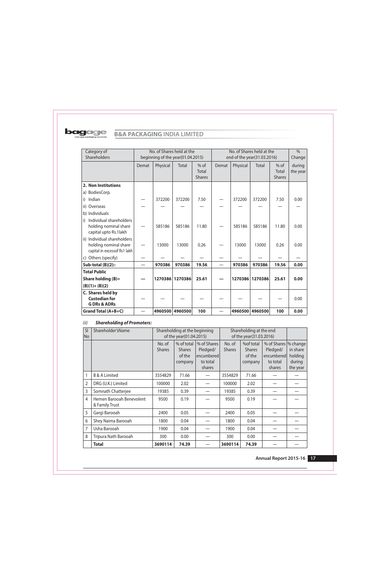

| Category of<br>Shareholders                                                          |       | No. of Shares held at the<br>beginning of the year(01.04.2015) |         |                                  | No. of Shares held at the<br>end of the year(31.03.2016) |                 |                 | $\frac{0}{0}$<br>Change          |                    |
|--------------------------------------------------------------------------------------|-------|----------------------------------------------------------------|---------|----------------------------------|----------------------------------------------------------|-----------------|-----------------|----------------------------------|--------------------|
|                                                                                      | Demat | Physical                                                       | Total   | $%$ of<br>Total<br><b>Shares</b> | Demat                                                    | Physical        | Total           | $%$ of<br>Total<br><b>Shares</b> | during<br>the year |
| 2. Non Institutions                                                                  |       |                                                                |         |                                  |                                                          |                 |                 |                                  |                    |
| a) BodiesCorp.                                                                       |       |                                                                |         |                                  |                                                          |                 |                 |                                  |                    |
| Indian<br>i)                                                                         |       | 372200                                                         | 372200  | 7.50                             |                                                          | 372200          | 372200          | 7.50                             | 0.00               |
| Overseas<br>ii)                                                                      |       |                                                                |         |                                  |                                                          |                 |                 |                                  |                    |
| b) Individuals                                                                       |       |                                                                |         |                                  |                                                          |                 |                 |                                  |                    |
| Individual shareholders<br>i)<br>holding nominal share<br>capital upto Rs.1lakh      |       | 585186                                                         | 585186  | 11.80                            |                                                          | 585186          | 585186          | 11.80                            | 0.00               |
| ii) Individual shareholders<br>holding nominal share<br>capital in excessof Rs1 lakh |       | 13000                                                          | 13000   | 0.26                             |                                                          | 13000           | 13000           | 0.26                             | 0.00               |
| c) Others (specify)                                                                  |       |                                                                |         |                                  |                                                          |                 |                 |                                  |                    |
| Sub-total $(B)(2)$ :-                                                                |       | 970386                                                         | 970386  | 19.56                            | $\overline{\phantom{a}}$                                 | 970386          | 970386          | 19.56                            | 0.00               |
| <b>Total Public</b>                                                                  |       |                                                                |         |                                  |                                                          |                 |                 |                                  |                    |
| Share holding (B)=                                                                   |       | 1270386                                                        | 1270386 | 25.61                            |                                                          |                 | 1270386 1270386 | 25.61                            | 0.00               |
| $(B)(1)+(B)(2)$                                                                      |       |                                                                |         |                                  |                                                          |                 |                 |                                  |                    |
| C. Shares held by                                                                    |       |                                                                |         |                                  |                                                          |                 |                 |                                  |                    |
| <b>Custodian for</b><br><b>GDRs &amp; ADRs</b>                                       |       |                                                                |         |                                  |                                                          |                 |                 |                                  | 0.00               |
| Grand Total (A+B+C)                                                                  |       | 4960500                                                        | 4960500 | 100                              |                                                          | 4960500 4960500 |                 | 100                              | 0.00               |

## **Shareholding of Promoters:**  $(ii)$

| $\vert$ SI<br>No | Shareholder's Name                         |               | Shareholding at the beginning<br>of the year(01.04.2015) |             |               | Shareholding at the end<br>of the year(31.03.2016) |                       |          |
|------------------|--------------------------------------------|---------------|----------------------------------------------------------|-------------|---------------|----------------------------------------------------|-----------------------|----------|
|                  |                                            | No. of        | % of total                                               | % of Shares | No. of        | %of total                                          | % of Shares  % change |          |
|                  |                                            | <b>Shares</b> | <b>Shares</b>                                            | Pledged/    | <b>Shares</b> | <b>Shares</b>                                      | Pledged/              | in share |
|                  |                                            |               | of the                                                   | encumbered  |               | of the                                             | encumbered            | holding  |
|                  |                                            |               | company                                                  | to total    |               | company                                            | to total              | during   |
|                  |                                            |               |                                                          | shares      |               |                                                    | shares                | the year |
| 1                | <b>B &amp; A Limited</b>                   | 3554829       | 71.66                                                    |             | 3554829       | 71.66                                              |                       |          |
| $\overline{2}$   | DRG (U.K.) Limited                         | 100000        | 2.02                                                     |             | 100000        | 2.02                                               |                       |          |
| 3                | Somnath Chatterjee                         | 19385         | 0.39                                                     |             | 19385         | 0.39                                               |                       |          |
| $\overline{4}$   | Hemen Barooah Benevolent<br>& Family Trust | 9500          | 0.19                                                     |             | 9500          | 0.19                                               |                       |          |
| 5                | Gargi Barooah                              | 2400          | 0.05                                                     |             | 2400          | 0.05                                               |                       |          |
| 6                | Shey Naima Barooah                         | 1800          | 0.04                                                     |             | 1800          | 0.04                                               |                       |          |
| 7                | Usha Barooah                               | 1900          | 0.04                                                     |             | 1900          | 0.04                                               |                       |          |
| 8                | Tripura Nath Barooah                       | 300           | 0.00                                                     |             | 300           | 0.00                                               |                       |          |
|                  | <b>Total</b>                               | 3690114       | 74.39                                                    |             | 3690114       | 74.39                                              |                       |          |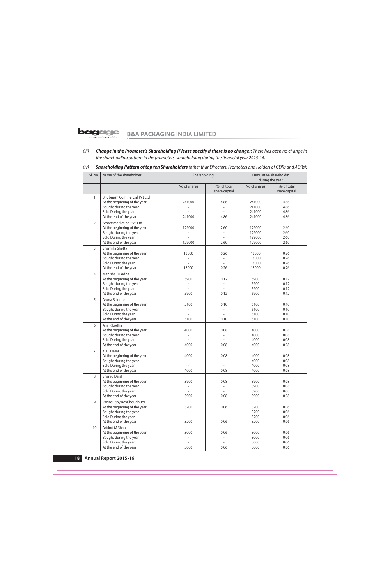Change in the Promoter's Shareholding (Please specify if there is no change): There has been no change in  $(iii)$ the shareholding pattern in the promoters' shareholding during the financial year 2015-16.

#### $(iv)$ Shareholding Pattern of top ten Shareholders (other thanDirectors, Promoters and Holders of GDRs and ADRs):

| SI No.         | Name of the shareholder                                |                | Shareholding<br>Cumulative shareholdin<br>during the year |                  |                |
|----------------|--------------------------------------------------------|----------------|-----------------------------------------------------------|------------------|----------------|
|                |                                                        |                |                                                           |                  |                |
|                |                                                        | No of shares   | $(\%)$ of total<br>share capital                          | No of shares     | $(%)$ of total |
|                |                                                        |                |                                                           |                  | share capital  |
| 1              | <b>Bhubnesh Commercial Pvt Ltd</b>                     |                |                                                           |                  |                |
|                | At the beginning of the year                           | 241000         | 4.86                                                      | 241000           | 4.86           |
|                | Bought during the year                                 |                |                                                           | 241000           | 4.86           |
|                | Sold During the year<br>At the end of the year         | 241000         | 4.86                                                      | 241000<br>241000 | 4.86<br>4.86   |
|                |                                                        |                |                                                           |                  |                |
| $\overline{2}$ | Amrex Marketing Pvt. Ltd                               |                |                                                           |                  |                |
|                | At the beginning of the year                           | 129000         | 2.60                                                      | 129000           | 2.60           |
|                | Bought during the year                                 |                | $\overline{\phantom{a}}$                                  | 129000           | 2.60           |
|                | Sold During the year<br>At the end of the year         | 129000         | 2.60                                                      | 129000<br>129000 | 2.60<br>2.60   |
|                |                                                        |                |                                                           |                  |                |
| 3              | Sharmila Shetty                                        |                |                                                           |                  |                |
|                | At the beginning of the year<br>Bought during the year | 13000          | 0.26                                                      | 13000<br>13000   | 0.26<br>0.26   |
|                | Sold During the year                                   |                | $\overline{a}$                                            | 13000            | 0.26           |
|                | At the end of the year                                 | 13000          | 0.26                                                      | 13000            | 0.26           |
| $\overline{4}$ | Manisha R Lodha                                        |                |                                                           |                  |                |
|                | At the beginning of the year                           | 5900           | 0.12                                                      | 5900             | 0.12           |
|                | Bought during the year                                 |                |                                                           | 5900             | 0.12           |
|                | Sold During the year                                   |                |                                                           | 5900             | 0.12           |
|                | At the end of the year                                 | 5900           | 0.12                                                      | 5900             | 0.12           |
| 5              | Aruna R Lodha                                          |                |                                                           |                  |                |
|                | At the beginning of the year                           | 5100           | 0.10                                                      | 5100             | 0.10           |
|                | Bought during the year                                 |                |                                                           | 5100             | 0.10           |
|                | Sold During the year                                   |                |                                                           | 5100             | 0.10           |
|                | At the end of the year                                 | 5100           | 0.10                                                      | 5100             | 0.10           |
| 6              | Anil R Lodha                                           |                |                                                           |                  |                |
|                | At the beginning of the year                           | 4000           | 0.08                                                      | 4000             | 0.08           |
|                | Bought during the year                                 |                | $\overline{\phantom{a}}$                                  | 4000             | 0.08           |
|                | Sold During the year                                   |                |                                                           | 4000             | 0.08           |
|                | At the end of the year                                 | 4000           | 0.08                                                      | 4000             | 0.08           |
| $\overline{7}$ | K. G. Desai                                            |                |                                                           |                  |                |
|                | At the beginning of the year                           | 4000           | 0.08                                                      | 4000             | 0.08           |
|                | Bought during the year                                 |                |                                                           | 4000             | 0.08           |
|                | Sold During the year                                   |                |                                                           | 4000             | 0.08           |
|                | At the end of the year                                 | 4000           | 0.08                                                      | 4000             | 0.08           |
| 8              | <b>Sharad Dalal</b>                                    |                |                                                           |                  |                |
|                | At the beginning of the year                           | 3900           | 0.08                                                      | 3900             | 0.08           |
|                | Bought during the year                                 |                | $\qquad \qquad -$                                         | 3900             | 0.08           |
|                | Sold During the year                                   |                | $\overline{\phantom{a}}$                                  | 3900             | 0.08           |
|                | At the end of the year                                 | 3900           | 0.08                                                      | 3900             | 0.08           |
| 9              | Ranadurjoy RoyChoudhury                                |                |                                                           |                  |                |
|                | At the beginning of the year                           | 3200           | 0.06                                                      | 3200             | 0.06           |
|                | Bought during the year                                 |                |                                                           | 3200             | 0.06           |
|                | Sold During the year                                   | $\overline{a}$ | $\overline{\phantom{a}}$                                  | 3200             | 0.06           |
|                | At the end of the year                                 | 3200           | 0.06                                                      | 3200             | 0.06           |
| 10             | Arbind M Shah                                          |                |                                                           |                  |                |
|                | At the beginning of the year                           | 3000           | 0.06                                                      | 3000             | 0.06           |
|                | Bought during the year                                 |                | $\overline{\phantom{a}}$                                  | 3000             | 0.06           |
|                | Sold During the year                                   |                | $\overline{\phantom{a}}$                                  | 3000             | 0.06           |
|                | At the end of the year                                 | 3000           | 0.06                                                      | 3000             | 0.06           |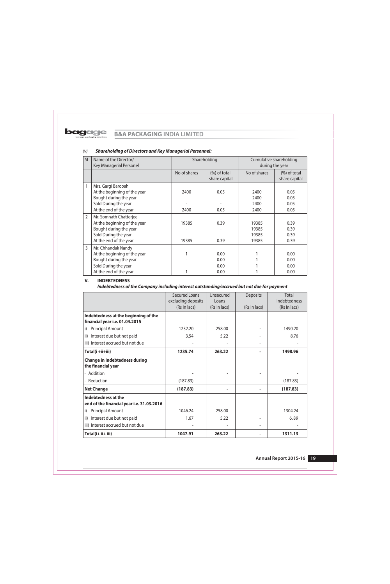| SI             | Name of the Director/<br><b>Key Managerial Personel</b> | Shareholding |                 |              | Cumulative shareholding<br>during the year |  |
|----------------|---------------------------------------------------------|--------------|-----------------|--------------|--------------------------------------------|--|
|                |                                                         | No of shares | $(\%)$ of total | No of shares | $(\%)$ of total                            |  |
|                |                                                         |              | share capital   |              | share capital                              |  |
| 1              | Mrs. Gargi Barooah                                      |              |                 |              |                                            |  |
|                | At the beginning of the year                            | 2400         | 0.05            | 2400         | 0.05                                       |  |
|                | Bought during the year                                  |              |                 | 2400         | 0.05                                       |  |
|                | Sold During the year                                    |              |                 | 2400         | 0.05                                       |  |
|                | At the end of the year                                  | 2400         | 0.05            | 2400         | 0.05                                       |  |
| $\overline{2}$ | Mr. Somnath Chatterjee                                  |              |                 |              |                                            |  |
|                | At the beginning of the year                            | 19385        | 0.39            | 19385        | 0.39                                       |  |
|                | Bought during the year                                  |              |                 | 19385        | 0.39                                       |  |
|                | Sold During the year                                    |              |                 | 19385        | 0.39                                       |  |
|                | At the end of the year                                  | 19385        | 0.39            | 19385        | 0.39                                       |  |
| 3              | Mr. Chhandak Nandy                                      |              |                 |              |                                            |  |
|                | At the beginning of the year                            |              | 0.00            |              | 0.00                                       |  |
|                | Bought during the year                                  |              | 0.00            |              | 0.00                                       |  |
|                | Sold During the year                                    |              | 0.00            |              | 0.00                                       |  |
|                | At the end of the year                                  |              | 0.00            |              | 0.00                                       |  |

### **Shareholding of Directors and Key Managerial Personnel:**  $(V)$

#### V. **INDEBTEDNESS**

Indebtedness of the Company including interest outstanding/accrued but not due for payment

|                                            | <b>Secured Loans</b> | Unsecured    | Deposits     | Total        |
|--------------------------------------------|----------------------|--------------|--------------|--------------|
|                                            | excluding deposits   | Loans        |              | Indebtedness |
|                                            | (Rs In lacs)         | (Rs In lacs) | (Rs In lacs) | (Rs In lacs) |
| Indebtedness at the beginning of the       |                      |              |              |              |
| financial year i.e. 01.04.2015             |                      |              |              |              |
| i)<br><b>Principal Amount</b>              | 1232.20              | 258.00       |              | 1490.20      |
| Interest due but not paid<br>$\mathsf{ii}$ | 3.54                 | 5.22         |              | 8.76         |
| iii) Interest accrued but not due          |                      |              |              |              |
| Total(i +ii+iii)                           | 1235.74              | 263.22       |              | 1498.96      |
| <b>Change in Indebtedness during</b>       |                      |              |              |              |
| the financial year                         |                      |              |              |              |
| Addition                                   |                      |              |              |              |
| Reduction                                  | (187.83)             |              |              | (187.83)     |
| <b>Net Change</b>                          | (187.83)             |              |              | (187.83)     |
| Indebtedness at the                        |                      |              |              |              |
| end of the financial year i.e. 31.03.2016  |                      |              |              |              |
| <b>Principal Amount</b><br>i)              | 1046.24              | 258.00       |              | 1304.24      |
| Interest due but not paid<br>ii)           | 1.67                 | 5.22         |              | 6.89         |
| iii) Interest accrued but not due          |                      |              |              |              |
| Total(i+ ii+ iii)                          | 1047.91              | 263.22       |              | 1311.13      |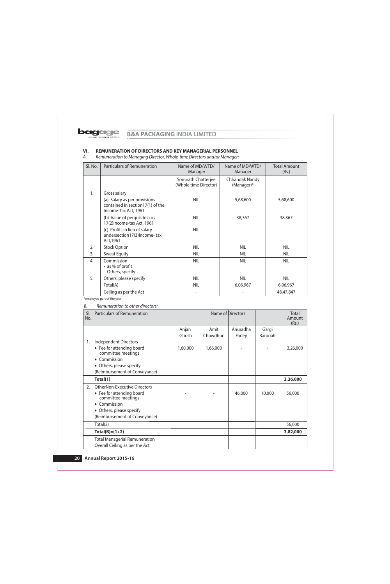#### VI. REMUNERATION OF DIRECTORS AND KEY MANAGERIAL PERSONNEL

А. Remuneration to Managing Director, Whole-time Directors and/or Manager:

| Sl. No. | <b>Particulars of Remuneration</b>                                                       | Name of MD/WTD/<br>Manager                  | Name of MD/WTD/<br>Manager   | <b>Total Amount</b><br>(Rs.) |
|---------|------------------------------------------------------------------------------------------|---------------------------------------------|------------------------------|------------------------------|
|         |                                                                                          | Somnath Chatterjee<br>(Whole time Director) | Chhandak Nandy<br>(Manager)* |                              |
| 1.      | Gross salary                                                                             |                                             |                              |                              |
|         | (a) Salary as per provisions<br>contained in section17(1) of the<br>Income-Tax Act, 1961 | <b>NIL</b>                                  | 5,68,600                     | 5,68,600                     |
|         | (b) Value of perquisites u/s<br>17(2) Income-tax Act, 1961                               | <b>NIL</b>                                  | 38,367                       | 38,367                       |
|         | (c) Profits in lieu of salary<br>undersection17(3)Income-tax<br>Act, 1961                | <b>NIL</b>                                  |                              |                              |
| 2.      | <b>Stock Option</b>                                                                      | NIL                                         | <b>NIL</b>                   | <b>NIL</b>                   |
| 3.      | <b>Sweat Equity</b>                                                                      | <b>NIL</b>                                  | NIL                          | <b>NIL</b>                   |
| 4.      | Commission<br>- as % of profit<br>- Others, specify                                      | <b>NIL</b>                                  | <b>NIL</b>                   | <b>NIL</b>                   |
| 5.      | Others, please specify                                                                   | <b>NIL</b>                                  | <b>NIL</b>                   | <b>NIL</b>                   |
|         | Total(A)                                                                                 | <b>NIL</b>                                  | 6,06,967                     | 6,06,967                     |
|         | Ceiling as per the Act                                                                   |                                             |                              | 48,47,847                    |

\*employed part of the year

### Remuneration to other directors: В.

| SI.<br>No. | <b>Particulars of Remuneration</b>              |          |           | Name of Directors |         | Total<br>Amount<br>(Rs.) |
|------------|-------------------------------------------------|----------|-----------|-------------------|---------|--------------------------|
|            |                                                 | Anjan    | Amit      | Anuradha          | Gargi   |                          |
|            |                                                 | Ghosh    | Chowdhuri | Farley            | Barooah |                          |
| 1.         | <b>Independent Directors</b>                    |          |           |                   |         |                          |
|            | • Fee for attending board<br>committee meetings | 1,60,000 | 1,66,000  |                   |         | 3,26,000                 |
|            | Commission<br>$\bullet$                         |          |           |                   |         |                          |
|            | Others, please specify                          |          |           |                   |         |                          |
|            | (Reimbursement of Conveyance)                   |          |           |                   |         |                          |
|            | Total(1)                                        |          |           |                   |         | 3,26,000                 |
| 2.         | <b>OtherNon-Executive Directors</b>             |          |           |                   |         |                          |
|            | • Fee for attending board<br>committee meetings |          |           | 46,000            | 10,000  | 56,000                   |
|            | Commission<br>$\bullet$                         |          |           |                   |         |                          |
|            | Others, please specify<br>$\bullet$             |          |           |                   |         |                          |
|            | (Reimbursement of Conveyance)                   |          |           |                   |         |                          |
|            | Total(2)                                        |          |           |                   |         | 56,000                   |
|            | $Total(B)=(1+2)$                                |          |           |                   |         | 3,82,000                 |
|            | <b>Total Managerial Remuneration</b>            |          |           |                   |         |                          |
|            | Overall Ceiling as per the Act                  |          |           |                   |         |                          |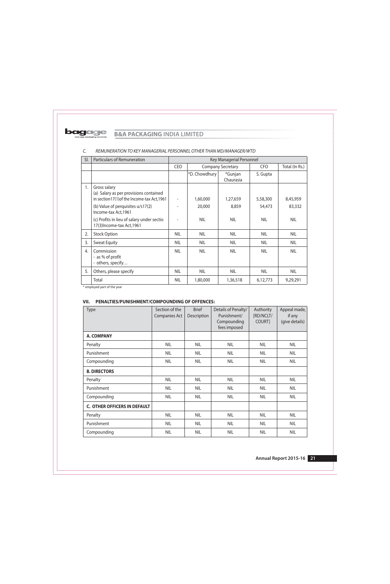

| SI. | <b>Particulars of Remuneration</b>                                                                                                                                 | Key Managerial Personnel |                    |                          |                    |                    |
|-----|--------------------------------------------------------------------------------------------------------------------------------------------------------------------|--------------------------|--------------------|--------------------------|--------------------|--------------------|
|     |                                                                                                                                                                    | <b>CEO</b>               |                    | <b>Company Secretary</b> | <b>CFO</b>         | Total (In Rs.)     |
|     |                                                                                                                                                                    |                          | *D. Chowdhury      | *Gunjan<br>Chaurasia     | S. Gupta           |                    |
| 1.  | Gross salary<br>(a) Salary as per provisions contained<br>in section17(1) of the Income-tax Act, 1961<br>(b) Value of perquisites u/s17(2)<br>Income-tax Act, 1961 |                          | 1,60,000<br>20,000 | 1,27,659<br>8,859        | 5,58,300<br>54,473 | 8,45,959<br>83,332 |
|     | (c) Profits in lieu of salary under sectio<br>17(3) Income-tax Act, 1961                                                                                           |                          | <b>NIL</b>         | <b>NIL</b>               | <b>NIL</b>         | <b>NIL</b>         |
| 2.  | <b>Stock Option</b>                                                                                                                                                | NIL                      | <b>NIL</b>         | <b>NIL</b>               | <b>NIL</b>         | NIL                |
| 3.  | <b>Sweat Equity</b>                                                                                                                                                | <b>NIL</b>               | <b>NIL</b>         | <b>NIL</b>               | <b>NIL</b>         | <b>NIL</b>         |
| 4.  | Commission<br>- as % of profit<br>- others, specify                                                                                                                | <b>NIL</b>               | <b>NIL</b>         | <b>NIL</b>               | <b>NIL</b>         | <b>NIL</b>         |
| 5.  | Others, please specify                                                                                                                                             | <b>NIL</b>               | <b>NIL</b>         | <b>NIL</b>               | NIL                | <b>NIL</b>         |
|     | Total                                                                                                                                                              | <b>NIL</b>               | 1,80,000           | 1,36,518                 | 6,12,773           | 9,29,291           |

#### $\mathsf{C}$ . REMUNERATION TO KEY MANAGERIAL PERSONNEL OTHER THAN MD/MANAGER/WTD

\* employed part of the year

# VII. PENALTIES/PUNISHMENT/COMPOUNDING OF OFFENCES:

| Type                                | Section of the<br>Companies Act | <b>Brief</b><br>Description | Details of Penalty/<br>Punishment/<br>Compounding<br>fees imposed | Authority<br>[RD/NCLT/<br>COURT] | Appeal made,<br>if any<br>(give details) |
|-------------------------------------|---------------------------------|-----------------------------|-------------------------------------------------------------------|----------------------------------|------------------------------------------|
| <b>A. COMPANY</b>                   |                                 |                             |                                                                   |                                  |                                          |
| Penalty                             | <b>NIL</b>                      | <b>NIL</b>                  | <b>NIL</b>                                                        | <b>NIL</b>                       | <b>NIL</b>                               |
| Punishment                          | <b>NIL</b>                      | <b>NIL</b>                  | <b>NIL</b>                                                        | <b>NIL</b>                       | <b>NIL</b>                               |
| Compounding                         | <b>NIL</b>                      | <b>NIL</b>                  | <b>NIL</b>                                                        | <b>NIL</b>                       | <b>NIL</b>                               |
| <b>B. DIRECTORS</b>                 |                                 |                             |                                                                   |                                  |                                          |
| Penalty                             | <b>NIL</b>                      | <b>NIL</b>                  | <b>NIL</b>                                                        | <b>NIL</b>                       | <b>NIL</b>                               |
| Punishment                          | <b>NIL</b>                      | <b>NIL</b>                  | <b>NIL</b>                                                        | <b>NIL</b>                       | <b>NIL</b>                               |
| Compounding                         | <b>NIL</b>                      | <b>NIL</b>                  | <b>NIL</b>                                                        | <b>NIL</b>                       | <b>NIL</b>                               |
| <b>C. OTHER OFFICERS IN DEFAULT</b> |                                 |                             |                                                                   |                                  |                                          |
| Penalty                             | <b>NIL</b>                      | <b>NIL</b>                  | <b>NIL</b>                                                        | <b>NIL</b>                       | <b>NIL</b>                               |
| Punishment                          | <b>NIL</b>                      | <b>NIL</b>                  | <b>NIL</b>                                                        | <b>NIL</b>                       | <b>NIL</b>                               |
| Compounding                         | <b>NIL</b>                      | <b>NIL</b>                  | <b>NIL</b>                                                        | <b>NIL</b>                       | <b>NIL</b>                               |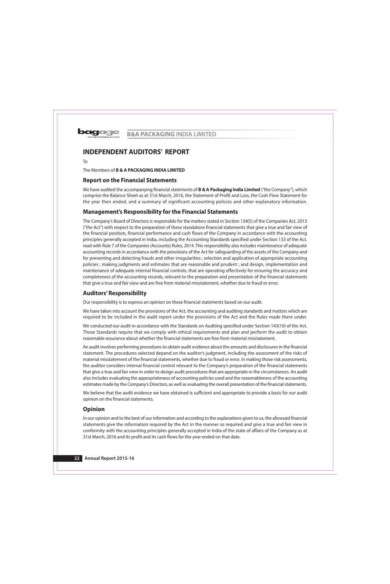

# **INDEPENDENT AUDITORS' REPORT**

 $To$ 

The Members of **B & A PACKAGING INDIA LIMITED** 

# **Report on the Financial Statements**

We have audited the accompanying financial statements of **B & A Packaging India Limited** ("the Company"), which comprise the Balance Sheet as at 31st March, 2016, the Statement of Profit and Loss, the Cash Flow Statement for the year then ended, and a summary of significant accounting policies and other explanatory information.

# **Management's Responsibility for the Financial Statements**

The Company's Board of Directors is responsible for the matters stated in Section 134(5) of the Companies Act, 2013 ("the Act") with respect to the preparation of these standalone financial statements that give a true and fair view of the financial position, financial performance and cash flows of the Company in accordance with the accounting principles generally accepted in India, including the Accounting Standards specified under Section 133 of the Act, read with Rule 7 of the Companies (Accounts) Rules, 2014. This responsibility also includes maintenance of adequate accounting records in accordance with the provisions of the Act for safeguarding of the assets of the Company and for preventing and detecting frauds and other irregularities; selection and application of appropriate accounting policies; making judgments and estimates that are reasonable and prudent; and design, implementation and maintenance of adequate internal financial controls, that are operating effectively for ensuring the accuracy and completeness of the accounting records, relevant to the preparation and presentation of the financial statements that give a true and fair view and are free from material misstatement, whether due to fraud or error.

# **Auditors' Responsibility**

Our responsibility is to express an opinion on these financial statements based on our audit.

We have taken into account the provisions of the Act, the accounting and auditing standards and matters which are required to be included in the audit report under the provisions of the Act and the Rules made there under.

We conducted our audit in accordance with the Standards on Auditing specified under Section 143(10) of the Act. Those Standards require that we comply with ethical requirements and plan and perform the audit to obtain reasonable assurance about whether the financial statements are free from material misstatement.

An audit involves performing procedures to obtain audit evidence about the amounts and disclosures in the financial statement. The procedures selected depend on the auditor's judgment, including the assessment of the risks of material misstatement of the financial statements, whether due to fraud or error. In making those risk assessments, the auditor considers internal financial control relevant to the Company's preparation of the financial statements that give a true and fair view in order to design audit procedures that are appropriate in the circumstances. An audit also includes evaluating the appropriateness of accounting policies used and the reasonableness of the accounting estimates made by the Company's Directors, as well as evaluating the overall presentation of the financial statements.

We believe that the audit evidence we have obtained is sufficient and appropriate to provide a basis for our audit opinion on the financial statements.

# **Opinion**

In our opinion and to the best of our information and according to the explanations given to us, the aforesaid financial statements give the information required by the Act in the manner so required and give a true and fair view in conformity with the accounting principles generally accepted in India of the state of affairs of the Company as at 31st March, 2016 and its profit and its cash flows for the year ended on that date.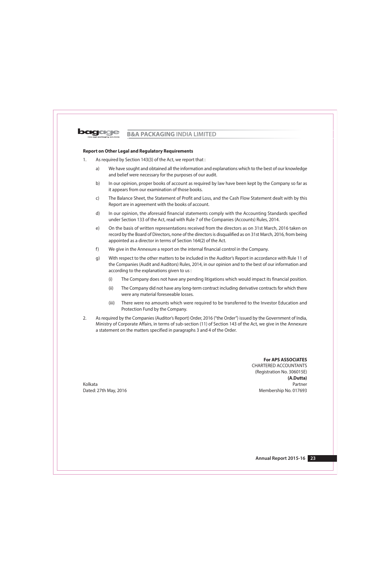

## **Report on Other Legal and Regulatory Requirements**

- $1.$ As required by Section 143(3) of the Act, we report that :
	- a) We have sought and obtained all the information and explanations which to the best of our knowledge and belief were necessary for the purposes of our audit.
	- In our opinion, proper books of account as required by law have been kept by the Company so far as  $b)$ it appears from our examination of those books.
	- The Balance Sheet, the Statement of Profit and Loss, and the Cash Flow Statement dealt with by this  $\mathsf{C}$ Report are in agreement with the books of account.
	- In our opinion, the aforesaid financial statements comply with the Accounting Standards specified d) under Section 133 of the Act, read with Rule 7 of the Companies (Accounts) Rules, 2014.
	- $e)$ On the basis of written representations received from the directors as on 31st March, 2016 taken on record by the Board of Directors, none of the directors is disqualified as on 31st March, 2016, from being appointed as a director in terms of Section 164(2) of the Act.
	- $f$ ) We give in the Annexure a report on the internal financial control in the Company.
	- With respect to the other matters to be included in the Auditor's Report in accordance with Rule 11 of  $q)$ the Companies (Audit and Auditors) Rules, 2014, in our opinion and to the best of our information and according to the explanations given to us :
		- $(i)$ The Company does not have any pending litigations which would impact its financial position.
		- $(ii)$ The Company did not have any long-term contract including derivative contracts for which there were any material foreseeable losses.
		- $(iii)$ There were no amounts which were required to be transferred to the Investor Education and Protection Fund by the Company.
- $2<sup>1</sup>$ As required by the Companies (Auditor's Report) Order, 2016 ("the Order") issued by the Government of India, Ministry of Corporate Affairs, in terms of sub-section (11) of Section 143 of the Act, we give in the Annexure a statement on the matters specified in paragraphs 3 and 4 of the Order.

**For APS ASSOCIATES** 

**CHARTERED ACCOUNTANTS** (Registration No. 306015E) (A.Dutta) Partner Membership No. 017693

Kolkata Dated: 27th May, 2016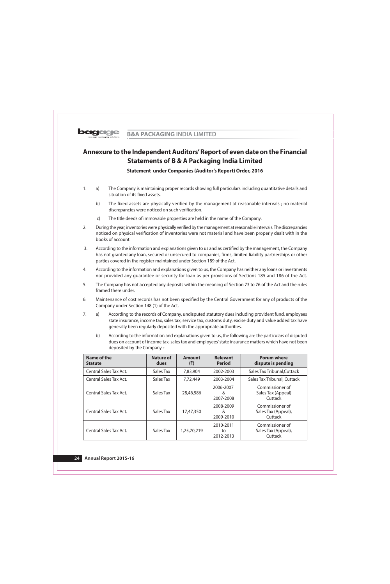

# Annexure to the Independent Auditors' Report of even date on the Financial **Statements of B & A Packaging India Limited**

**Statement under Companies (Auditor's Report) Order, 2016** 

- The Company is maintaining proper records showing full particulars including quantitative details and  $1.$  $a)$ situation of its fixed assets.
	- $b)$ The fixed assets are physically verified by the management at reasonable intervals; no material discrepancies were noticed on such verification.
	- The title deeds of immovable properties are held in the name of the Company.  $\mathsf{C}$
- $\overline{2}$ . During the year, inventories were physically verified by the management at reasonable intervals. The discrepancies noticed on physical verification of inventories were not material and have been properly dealt with in the books of account.
- $\overline{3}$ . According to the information and explanations given to us and as certified by the management, the Company has not granted any loan, secured or unsecured to companies, firms, limited liability partnerships or other parties covered in the register maintained under Section 189 of the Act.
- $4.$ According to the information and explanations given to us, the Company has neither any loans or investments nor provided any quarantee or security for loan as per provisions of Sections 185 and 186 of the Act.
- The Company has not accepted any deposits within the meaning of Section 73 to 76 of the Act and the rules 5. framed there under.
- 6. Maintenance of cost records has not been specified by the Central Government for any of products of the Company under Section 148 (1) of the Act.
- $7.$  $a)$ According to the records of Company, undisputed statutory dues including provident fund, employees state insurance, income tax, sales tax, service tax, customs duty, excise duty and value added tax have generally been regularly deposited with the appropriate authorities.
	- $b)$ According to the information and explanations given to us, the following are the particulars of disputed dues on account of income tax, sales tax and employees' state insurance matters which have not been deposited by the Company :-

| Name of the<br><b>Statute</b> | Nature of<br>dues | <b>Amount</b><br>(₹) | <b>Relevant</b><br><b>Period</b> | <b>Forum where</b><br>dispute is pending          |
|-------------------------------|-------------------|----------------------|----------------------------------|---------------------------------------------------|
| <b>Central Sales Tax Act.</b> | Sales Tax         | 7,83,904             | 2002-2003                        | Sales Tax Tribunal, Cuttack                       |
| <b>Central Sales Tax Act.</b> | Sales Tax         | 7,72,449             | 2003-2004                        | Sales Tax Tribunal, Cuttack                       |
| Central Sales Tax Act.        | Sales Tax         | 28,46,586            | 2006-2007<br>&<br>2007-2008      | Commissioner of<br>Sales Tax (Appeal)<br>Cuttack  |
| Central Sales Tax Act.        | Sales Tax         | 17,47,350            | 2008-2009<br>&<br>2009-2010      | Commissioner of<br>Sales Tax (Appeal),<br>Cuttack |
| Central Sales Tax Act.        | Sales Tax         | 1,25,70,219          | 2010-2011<br>to<br>2012-2013     | Commissioner of<br>Sales Tax (Appeal),<br>Cuttack |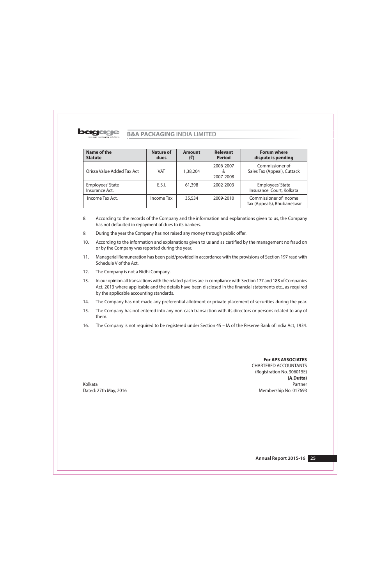

| Name of the<br><b>Statute</b>      | <b>Nature of</b><br>dues | <b>Amount</b><br>(₹) | <b>Relevant</b><br><b>Period</b> | <b>Forum where</b><br>dispute is pending             |
|------------------------------------|--------------------------|----------------------|----------------------------------|------------------------------------------------------|
| Orissa Value Added Tax Act         | VAT                      | 1,38,204             | 2006-2007<br>&<br>2007-2008      | Commissioner of<br>Sales Tax (Appeal), Cuttack       |
| Employees' State<br>Insurance Act. | E.S.I.                   | 61,398               | 2002-2003                        | Employees' State<br>Insurance Court, Kolkata         |
| Income Tax Act.                    | Income Tax               | 35,534               | 2009-2010                        | Commissioner of Income<br>Tax (Appeals), Bhubaneswar |

- 8. According to the records of the Company and the information and explanations given to us, the Company has not defaulted in repayment of dues to its bankers.
- 9. During the year the Company has not raised any money through public offer.
- $10.$ According to the information and explanations given to us and as certified by the management no fraud on or by the Company was reported during the year.
- $11.$ Managerial Remuneration has been paid/provided in accordance with the provisions of Section 197 read with Schedule V of the Act.
- $12.$ The Company is not a Nidhi Company.
- $13.$ In our opinion all transactions with the related parties are in compliance with Section 177 and 188 of Companies Act, 2013 where applicable and the details have been disclosed in the financial statements etc., as required by the applicable accounting standards.
- 14. The Company has not made any preferential allotment or private placement of securities during the year.
- $15.$ The Company has not entered into any non-cash transaction with its directors or persons related to any of them.
- $16.$ The Company is not required to be registered under Section 45 - IA of the Reserve Bank of India Act, 1934.

**For APS ASSOCIATES** 

**CHARTERED ACCOUNTANTS** (Registration No. 306015E) (A.Dutta) Partner Membership No. 017693

Kolkata Dated: 27th May, 2016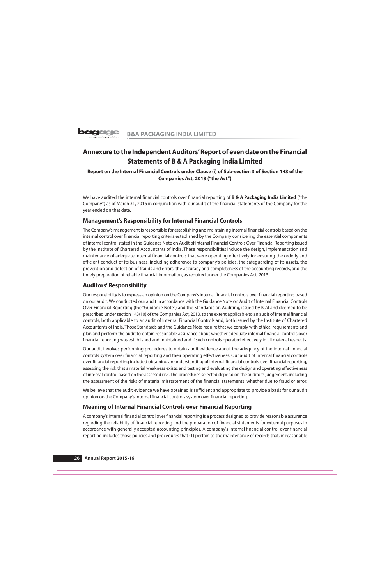

# Annexure to the Independent Auditors' Report of even date on the Financial **Statements of B & A Packaging India Limited**

# Report on the Internal Financial Controls under Clause (i) of Sub-section 3 of Section 143 of the Companies Act, 2013 ("the Act")

We have audited the internal financial controls over financial reporting of **B & A Packaging India Limited** ("the Company") as of March 31, 2016 in conjunction with our audit of the financial statements of the Company for the year ended on that date.

# **Management's Responsibility for Internal Financial Controls**

The Company's management is responsible for establishing and maintaining internal financial controls based on the internal control over financial reporting criteria established by the Company considering the essential components of internal control stated in the Guidance Note on Audit of Internal Financial Controls Over Financial Reporting issued by the Institute of Chartered Accountants of India. These responsibilities include the design, implementation and maintenance of adequate internal financial controls that were operating effectively for ensuring the orderly and efficient conduct of its business, including adherence to company's policies, the safeguarding of its assets, the prevention and detection of frauds and errors, the accuracy and completeness of the accounting records, and the timely preparation of reliable financial information, as required under the Companies Act, 2013.

# **Auditors' Responsibility**

Our responsibility is to express an opinion on the Company's internal financial controls over financial reporting based on our audit. We conducted our audit in accordance with the Guidance Note on Audit of Internal Financial Controls Over Financial Reporting (the "Guidance Note") and the Standards on Auditing, issued by ICAI and deemed to be prescribed under section 143(10) of the Companies Act, 2013, to the extent applicable to an audit of internal financial controls, both applicable to an audit of Internal Financial Controls and, both issued by the Institute of Chartered Accountants of India. Those Standards and the Guidance Note require that we comply with ethical requirements and plan and perform the audit to obtain reasonable assurance about whether adequate internal financial controls over financial reporting was established and maintained and if such controls operated effectively in all material respects.

Our audit involves performing procedures to obtain audit evidence about the adequacy of the internal financial controls system over financial reporting and their operating effectiveness. Our audit of internal financial controls over financial reporting included obtaining an understanding of internal financial controls over financial reporting, assessing the risk that a material weakness exists, and testing and evaluating the design and operating effectiveness of internal control based on the assessed risk. The procedures selected depend on the auditor's judgement, including the assessment of the risks of material misstatement of the financial statements, whether due to fraud or error.

We believe that the audit evidence we have obtained is sufficient and appropriate to provide a basis for our audit opinion on the Company's internal financial controls system over financial reporting.

# **Meaning of Internal Financial Controls over Financial Reporting**

A company's internal financial control over financial reporting is a process designed to provide reasonable assurance regarding the reliability of financial reporting and the preparation of financial statements for external purposes in accordance with generally accepted accounting principles. A company's internal financial control over financial reporting includes those policies and procedures that (1) pertain to the maintenance of records that, in reasonable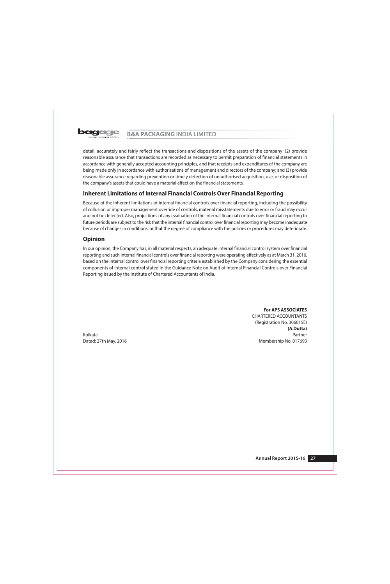

detail, accurately and fairly reflect the transactions and dispositions of the assets of the company; (2) provide reasonable assurance that transactions are recorded as necessary to permit preparation of financial statements in accordance with generally accepted accounting principles, and that receipts and expenditures of the company are being made only in accordance with authorisations of management and directors of the company; and (3) provide reasonable assurance regarding prevention or timely detection of unauthorised acquisition, use, or disposition of the company's assets that could have a material effect on the financial statements.

# **Inherent Limitations of Internal Financial Controls Over Financial Reporting**

Because of the inherent limitations of internal financial controls over financial reporting, including the possibility of collusion or improper management override of controls, material misstatements due to error or fraud may occur and not be detected. Also, projections of any evaluation of the internal financial controls over financial reporting to future periods are subject to the risk that the internal financial control over financial reporting may become inadequate because of changes in conditions, or that the degree of compliance with the policies or procedures may deteriorate.

# **Opinion**

In our opinion, the Company has, in all material respects, an adequate internal financial control system over financial reporting and such internal financial controls over financial reporting were operating effectively as at March 31, 2016, based on the internal control over financial reporting criteria established by the Company considering the essential components of internal control stated in the Guidance Note on Audit of Internal Financial Controls over Financial Reporting issued by the Institute of Chartered Accountants of India.

> **For APS ASSOCIATES CHARTERED ACCOUNTANTS** (Registration No. 306015E) (A.Dutta) Partner Membership No. 017693

Kolkata Dated: 27th May, 2016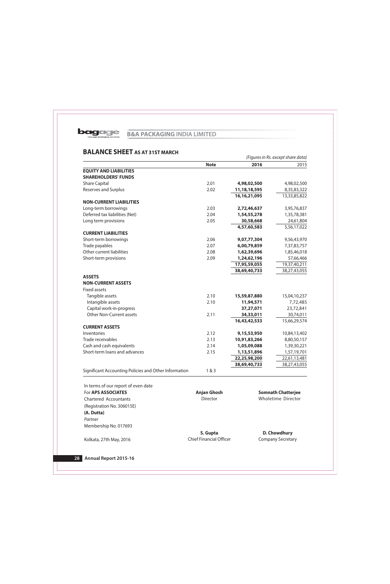

# **BALANCE SHEET AS AT 31ST MARCH**

|                                                       | (Figures in Rs. except share data) |                 |              |  |  |
|-------------------------------------------------------|------------------------------------|-----------------|--------------|--|--|
|                                                       | <b>Note</b>                        | 2016            | 2015         |  |  |
| <b>EQUITY AND LIABILITIES</b>                         |                                    |                 |              |  |  |
| <b>SHAREHOLDERS' FUNDS</b>                            |                                    |                 |              |  |  |
| <b>Share Capital</b>                                  | 2.01                               | 4,98,02,500     | 4,98,02,500  |  |  |
| <b>Reserves and Surplus</b>                           | 2.02                               | 11, 18, 18, 595 | 8,35,83,322  |  |  |
|                                                       |                                    | 16, 16, 21, 095 | 13,33,85,822 |  |  |
| <b>NON-CURRENT LIABILITIES</b>                        |                                    |                 |              |  |  |
| Long-term borrowings                                  | 2.03                               | 2,72,46,637     | 3,95,76,837  |  |  |
| Deferred tax liabilities (Net)                        | 2.04                               | 1,54,55,278     | 1,35,78,381  |  |  |
| Long term provisions                                  | 2.05                               | 30,58,668       | 24,61,804    |  |  |
|                                                       |                                    | 4,57,60,583     | 5,56,17,022  |  |  |
| <b>CURRENT LIABILITIES</b>                            |                                    |                 |              |  |  |
| Short-term borrowings                                 | 2.06                               | 9,07,77,304     | 9,56,43,970  |  |  |
| Trade payables                                        | 2.07                               | 6,00,79,859     | 7,37,83,757  |  |  |
| Other current liabilities                             | 2.08                               | 1,62,39,696     | 1,85,46,018  |  |  |
| Short-term provisions                                 | 2.09                               | 1,24,62,196     | 57,66,466    |  |  |
|                                                       |                                    | 17,95,59,055    | 19,37,40,211 |  |  |
|                                                       |                                    | 38,69,40,733    | 38,27,43,055 |  |  |
| <b>ASSETS</b>                                         |                                    |                 |              |  |  |
| <b>NON-CURRENT ASSETS</b>                             |                                    |                 |              |  |  |
| <b>Fixed assets</b>                                   |                                    |                 |              |  |  |
| Tangible assets                                       | 2.10                               | 15,59,87,880    | 15,04,10,237 |  |  |
| Intangible assets                                     | 2.10                               | 11,94,571       | 7,72,485     |  |  |
| Capital work-in-progress                              |                                    | 37,27,071       | 23,72,841    |  |  |
| Other Non-Current assets                              | 2.11                               | 34,33,011       | 30,74,011    |  |  |
|                                                       |                                    | 16,43,42,533    | 15,66,29,574 |  |  |
| <b>CURRENT ASSETS</b>                                 |                                    |                 |              |  |  |
| Inventories                                           | 2.12                               | 9,15,53,950     | 10,84,13,402 |  |  |
| Trade receivables                                     | 2.13                               | 10,91,83,266    | 8,80,50,157  |  |  |
| Cash and cash equivalents                             | 2.14                               | 1,05,09,088     | 1,39,30,221  |  |  |
| Short-term loans and advances                         | 2.15                               | 1,13,51,896     | 1,57,19,701  |  |  |
|                                                       |                                    | 22,25,98,200    | 22,61,13,481 |  |  |
|                                                       |                                    | 38,69,40,733    | 38,27,43,055 |  |  |
| Significant Accounting Policies and Other Information | 1&83                               |                 |              |  |  |

| <u><del>111 (CHITIS OF OUR TEDO</del>R CO</u> EVEN GULE |                                |                           |
|---------------------------------------------------------|--------------------------------|---------------------------|
| For APS ASSOCIATES                                      | <b>Anjan Ghosh</b>             | <b>Somnath Chatterjee</b> |
| <b>Chartered Accountants</b>                            | <b>Director</b>                | Wholetime Director        |
| (Registration No. 306015E)                              |                                |                           |
| (A. Dutta)                                              |                                |                           |
| Partner                                                 |                                |                           |
| Membership No. 017693                                   |                                |                           |
|                                                         | S. Gupta                       | D. Chowdhury              |
| Kolkata, 27th May, 2016                                 | <b>Chief Financial Officer</b> | <b>Company Secretary</b>  |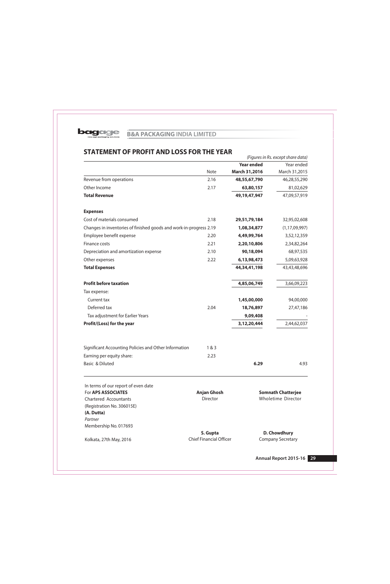

# STATEMENT OF PROFIT AND LOSS FOR THE YEAR

|                                                                    |                                |                   | (Figures in Rs. except share data) |
|--------------------------------------------------------------------|--------------------------------|-------------------|------------------------------------|
|                                                                    |                                | <b>Year ended</b> | Year ended                         |
|                                                                    | Note                           | March 31,2016     | March 31,2015                      |
| Revenue from operations                                            | 2.16                           | 48,55,67,790      | 46,28,55,290                       |
| Other Income                                                       | 2.17                           | 63,80,157         | 81,02,629                          |
| <b>Total Revenue</b>                                               |                                | 49, 19, 47, 947   | 47,09,57,919                       |
| <b>Expenses</b>                                                    |                                |                   |                                    |
| Cost of materials consumed                                         | 2.18                           | 29,51,79,184      | 32,95,02,608                       |
| Changes in inventories of finished goods and work-in-progress 2.19 |                                | 1,08,34,877       | (1, 17, 09, 997)                   |
| Employee benefit expense                                           | 2.20                           | 4,49,99,764       | 3,52,12,359                        |
| Finance costs                                                      | 2.21                           | 2,20,10,806       | 2,34,82,264                        |
| Depreciation and amortization expense                              | 2.10                           | 90,18,094         | 68,97,535                          |
| Other expenses                                                     | 2.22                           | 6,13,98,473       | 5,09,63,928                        |
| <b>Total Expenses</b>                                              |                                | 44,34,41,198      | 43,43,48,696                       |
| <b>Profit before taxation</b>                                      |                                | 4,85,06,749       | 3,66,09,223                        |
| Tax expense:                                                       |                                |                   |                                    |
| Current tax                                                        |                                | 1,45,00,000       | 94,00,000                          |
| Deferred tax                                                       | 2.04                           | 18,76,897         | 27,47,186                          |
| Tax adjustment for Earlier Years                                   |                                | 9,09,408          |                                    |
| Profit/(Loss) for the year                                         |                                | 3,12,20,444       | 2,44,62,037                        |
|                                                                    |                                |                   |                                    |
| Significant Accounting Policies and Other Information              | 1 & 3                          |                   |                                    |
| Earning per equity share:                                          | 2.23                           |                   |                                    |
| Basic & Diluted                                                    |                                | 6.29              | 4.93                               |
| In terms of our report of even date                                |                                |                   |                                    |
| For APS ASSOCIATES                                                 | <b>Anjan Ghosh</b>             |                   | <b>Somnath Chatterjee</b>          |
| <b>Chartered Accountants</b>                                       | Director                       |                   | Wholetime Director                 |
| (Registration No. 306015E)                                         |                                |                   |                                    |
| (A. Dutta)<br>Partner                                              |                                |                   |                                    |
| Membership No. 017693                                              |                                |                   |                                    |
|                                                                    | S. Gupta                       |                   | D. Chowdhury                       |
| Kolkata, 27th May, 2016                                            | <b>Chief Financial Officer</b> |                   | <b>Company Secretary</b>           |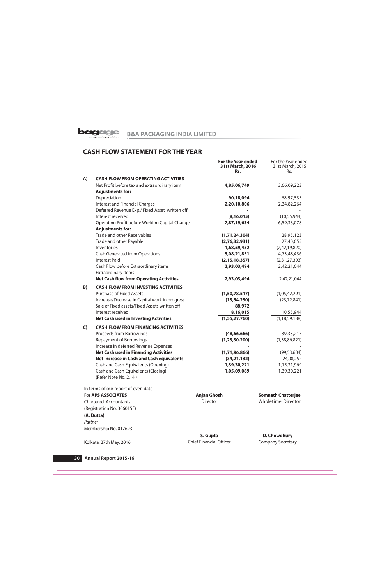

# **CASH FLOW STATEMENT FOR THE YEAR**

|                              |                                                              | <b>For the Year ended</b><br>31st March, 2016<br>Rs. | For the Year ended<br>31st March, 2015<br>Rs. |  |
|------------------------------|--------------------------------------------------------------|------------------------------------------------------|-----------------------------------------------|--|
| A)                           | <b>CASH FLOW FROM OPERATING ACTIVITIES</b>                   |                                                      |                                               |  |
|                              | Net Profit before tax and extraordinary item                 | 4,85,06,749                                          | 3,66,09,223                                   |  |
|                              | <b>Adjustments for:</b>                                      |                                                      |                                               |  |
|                              | Depreciation                                                 | 90,18,094                                            | 68,97,535                                     |  |
|                              | <b>Interest and Financial Charges</b>                        | 2,20,10,806                                          | 2,34,82,264                                   |  |
|                              | Deferred Revenue Exp./ Fixed Asset written off               |                                                      |                                               |  |
|                              | Interest received                                            | (8, 16, 015)                                         | (10, 55, 944)                                 |  |
|                              | Operating Profit before Working Capital Change               | 7,87,19,634                                          | 6,59,33,078                                   |  |
|                              | <b>Adjustments for:</b>                                      |                                                      |                                               |  |
|                              | <b>Trade and other Receivables</b>                           | (1,71,24,304)                                        | 28,95,123                                     |  |
|                              | Trade and other Payable                                      | (2,76,32,931)                                        | 27,40,055                                     |  |
|                              | Inventories                                                  | 1,68,59,452                                          | (2,42,19,820)                                 |  |
|                              | <b>Cash Generated from Operations</b>                        | 5,08,21,851                                          | 4,73,48,436                                   |  |
|                              | <b>Interest Paid</b>                                         | (2, 15, 18, 357)                                     | (2,31,27,393)                                 |  |
|                              | Cash Flow before Extraordinary items                         | 2,93,03,494                                          | 2,42,21,044                                   |  |
|                              | <b>Extraordinary Items</b>                                   |                                                      |                                               |  |
|                              | <b>Net Cash flow from Operating Activities</b>               | 2,93,03,494                                          | 2,42,21,044                                   |  |
| B)                           | <b>CASH FLOW FROM INVESTING ACTIVITIES</b>                   |                                                      |                                               |  |
|                              | <b>Purchase of Fixed Assets</b>                              | (1,50,78,517)                                        | (1,05,42,291)                                 |  |
|                              | Increase/Decrease in Capital work in progress                | (13, 54, 230)                                        | (23, 72, 841)                                 |  |
|                              | Sale of Fixed assets/Fixed Assets written off                | 88,972                                               |                                               |  |
|                              | Interest received                                            | 8,16,015                                             | 10,55,944                                     |  |
|                              | <b>Net Cash used in Investing Activities</b>                 | (1,55,27,760)                                        | (1, 18, 59, 188)                              |  |
| $\mathsf{C}$                 | <b>CASH FLOW FROM FINANCING ACTIVITIES</b>                   |                                                      |                                               |  |
|                              | Proceeds from Borrowings                                     | (48, 66, 666)                                        | 39, 33, 217                                   |  |
|                              | <b>Repayment of Borrowings</b>                               | (1, 23, 30, 200)                                     | (1,38,86,821)                                 |  |
|                              | Increase in deferred Revenue Expenses                        |                                                      |                                               |  |
|                              | <b>Net Cash used in Financing Activities</b>                 | (1,71,96,866)                                        | (99, 53, 604)                                 |  |
|                              | <b>Net Increase in Cash and Cash equivalents</b>             | (34, 21, 132)                                        | 24,08,252                                     |  |
|                              | Cash and Cash Equivalents (Opening)                          | 1,39,30,221                                          | 1,15,21,969                                   |  |
|                              | Cash and Cash Equivalents (Closing)<br>(Refer Note No. 2.14) | 1,05,09,089                                          | 1,39,30,221                                   |  |
|                              | In terms of our report of even date                          |                                                      |                                               |  |
|                              | For APS ASSOCIATES                                           | <b>Anjan Ghosh</b>                                   | <b>Somnath Chatterjee</b>                     |  |
| <b>Chartered Accountants</b> |                                                              | Director                                             | <b>Wholetime Director</b>                     |  |
|                              | (Registration No. 306015E)                                   |                                                      |                                               |  |
|                              | (A. Dutta)                                                   |                                                      |                                               |  |
| Partner                      |                                                              |                                                      |                                               |  |
|                              | Membership No. 017693                                        |                                                      |                                               |  |
|                              |                                                              |                                                      |                                               |  |
|                              |                                                              | S. Gupta<br><b>Chief Financial Officer</b>           | D. Chowdhury                                  |  |
|                              | Kolkata, 27th May, 2016                                      |                                                      | <b>Company Secretary</b>                      |  |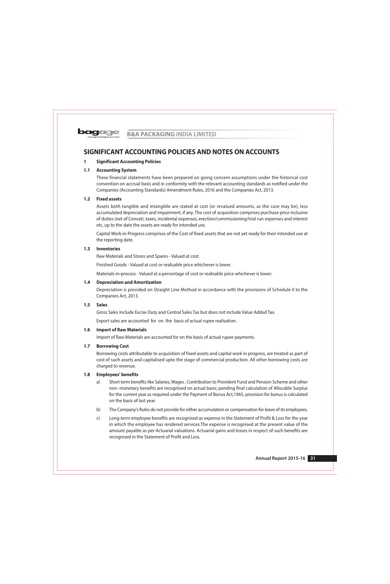#### $\mathbf{1}$ **Significant Accounting Policies**

#### $1.1$ **Accounting System**

These financial statements have been prepared on going concern assumptions under the historical cost convention on accrual basis and in conformity with the relevant accounting standards as notified under the Companies (Accounting Standards) Amendment Rules, 2016 and the Companies Act, 2013.

## 1.2 Fixed assets

Assets both tangible and intangible are stated at cost (or revalued amounts, as the case may be), less accumulated depreciation and impairment, if any. The cost of acquisition comprises purchase price inclusive of duties (net of Cenvat), taxes, incidental expenses, erection/commissioning/trial run expenses and interest etc, up to the date the assets are ready for intended use.

Capital Work-in-Progress comprises of the Cost of fixed assets that are not yet ready for their intended use at the reporting date.

## 1.3 Inventories

Raw Materials and Stores and Spares - Valued at cost.

Finished Goods - Valued at cost or realisable price whichever is lower.

Materials-in-process - Valued at a percentage of cost or realisable price whichever is lower.

#### $1.4$ **Depreciation and Amortization**

Depreciation is provided on Straight Line Method in accordance with the provisions of Schedule II to the Companies Act, 2013.

#### $1.5$ **Sales**

Gross Sales include Excise Duty and Central Sales Tax but does not include Value Added Tax.

Export sales are accounted for on the basis of actual rupee realisation.

#### $1.6$ **Import of Raw Materials**

Import of Raw Materials are accounted for on the basis of actual rupee payments.

#### $1.7$ **Borrowing Cost**

Borrowing costs attributable to acquisition of fixed assets and capital work in progress, are treated as part of cost of such assets and capitalised upto the stage of commercial production. All other borrowing costs are charged to revenue.

#### $1.8$ **Employees' benefits**

- Short term benefits like Salaries, Wages, Contribution to Provident Fund and Pension Scheme and other a) non-monetary benefits are recognised on actual basis; pending final calculation of Allocable Surplus for the current year as required under the Payment of Bonus Act, 1965, provision for bonus is calculated on the basis of last year.
- b) The Company's Rules do not provide for either accumulation or compensation for leave of its employees.
- $\mathsf{C}$ Long-term employee benefits are recognised as expense in the Statement of Profit & Loss for the year in which the employee has rendered services. The expense is recognised at the present value of the amount payable as per Actuarial valuations. Actuarial gains and losses in respect of such benefits are recognised in the Statement of Profit and Loss.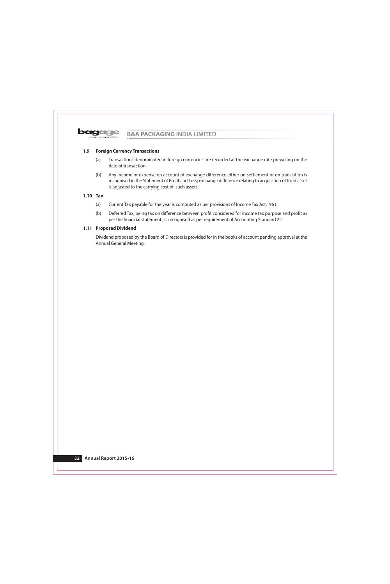

#### $1.9$ **Foreign Currency Transactions**

- Transactions denominated in foreign currencies are recorded at the exchange rate prevailing on the  $(a)$ date of transaction.
- Any income or expense on account of exchange difference either on settlement or on translation is  $(b)$ recognised in the Statement of Profit and Loss; exchange difference relating to acquisition of fixed asset is adjusted to the carrying cost of such assets.

## $1.10$  Tax

- $(a)$ Current Tax payable for the year is computed as per provisions of Income Tax Act, 1961.
- $(b)$ Deferred Tax, being tax on difference between profit considered for income tax purpose and profit as per the financial statement, is recognised as per requirement of Accounting Standard 22.

## 1.11 Proposed Dividend

Dividend proposed by the Board of Directors is provided for in the books of account pending approval at the Annual General Meeting.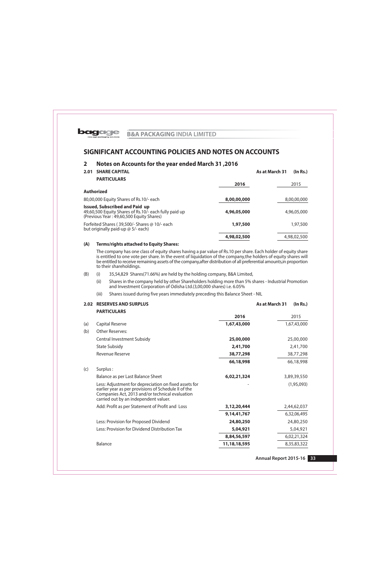

## Notes on Accounts for the year ended March 31,2016  $\overline{2}$

| <b>SHARE CAPITAL</b><br>2.01                                                                                                               |             | As at March 31 | (In Rs.)    |
|--------------------------------------------------------------------------------------------------------------------------------------------|-------------|----------------|-------------|
| <b>PARTICULARS</b>                                                                                                                         | 2016        |                | 2015        |
| <b>Authorized</b>                                                                                                                          |             |                |             |
| 80,00,000 Equity Shares of Rs.10/- each                                                                                                    | 8,00,00,000 |                | 8,00,00,000 |
| <b>Issued, Subscribed and Paid up</b><br>49,60,500 Equity Shares of Rs.10/- each fully paid up<br>(Previous Year: 49,60,500 Equity Shares) | 4,96,05,000 |                | 4,96,05,000 |
| Forfeited Shares (39,500/- Shares @ 10/- each<br>but originally paid-up @ 5/- each)                                                        | 1,97,500    |                | 1,97,500    |
|                                                                                                                                            | 4,98,02,500 |                | 4,98,02,500 |
|                                                                                                                                            |             |                |             |

#### $(A)$ **Terms/rights attached to Equity Shares:**

The company has one class of equity shares having a par value of Rs.10 per share. Each holder of equity share is entitled to one vote per share. In the event of liquidation of the company, the holders of equity shares will be entitled to receive remaining assets of the company, after distribution of all preferential amounts, in proportion to their shareholdings.

- 35,54,829 Shares(71.66%) are held by the holding company, B&A Limited,  $(B)$  $(i)$ 
	- $(ii)$ Shares in the company held by other Shareholders holding more than 5% shares - Industrial Promotion and Investment Corporation of Odisha Ltd.(3,00,000 shares) i.e. 6.05%
	- Shares issued during five years immediately preceding this Balance Sheet NIL  $(iii)$

| <b>2.02 RESERVES AND SURPLUS</b> |
|----------------------------------|
|                                  |

|     | <b>PARTICULARS</b>                                                                                                                                                                                        |                |             |
|-----|-----------------------------------------------------------------------------------------------------------------------------------------------------------------------------------------------------------|----------------|-------------|
|     |                                                                                                                                                                                                           | 2016           | 2015        |
| (a) | Capital Reserve                                                                                                                                                                                           | 1,67,43,000    | 1,67,43,000 |
| (b) | <b>Other Reserves:</b>                                                                                                                                                                                    |                |             |
|     | <b>Central Investment Subsidy</b>                                                                                                                                                                         | 25,00,000      | 25,00,000   |
|     | <b>State Subsidy</b>                                                                                                                                                                                      | 2,41,700       | 2,41,700    |
|     | Revenue Reserve                                                                                                                                                                                           | 38,77,298      | 38,77,298   |
|     |                                                                                                                                                                                                           | 66,18,998      | 66,18,998   |
| (c) | Surplus:                                                                                                                                                                                                  |                |             |
|     | Balance as per Last Balance Sheet                                                                                                                                                                         | 6,02,21,324    | 3,89,39,550 |
|     | Less: Adjustment for depreciation on fixed assets for<br>earlier year as per provisions of Schedule II of the<br>Companies Act, 2013 and/or technical evaluation<br>carried out by an independent valuer. |                | (1,95,093)  |
|     | Add: Profit as per Statement of Profit and Loss                                                                                                                                                           | 3,12,20,444    | 2,44,62,037 |
|     |                                                                                                                                                                                                           | 9, 14, 41, 767 | 6,32,06,495 |
|     | Less: Provision for Proposed Dividend                                                                                                                                                                     | 24,80,250      | 24,80,250   |
|     | Less: Provision for Dividend Distribution Tax                                                                                                                                                             | 5,04,921       | 5,04,921    |
|     |                                                                                                                                                                                                           | 8,84,56,597    | 6,02,21,324 |
|     | Balance                                                                                                                                                                                                   | 11,18,18,595   | 8,35,83,322 |

As at March 31

 $(In Rs.)$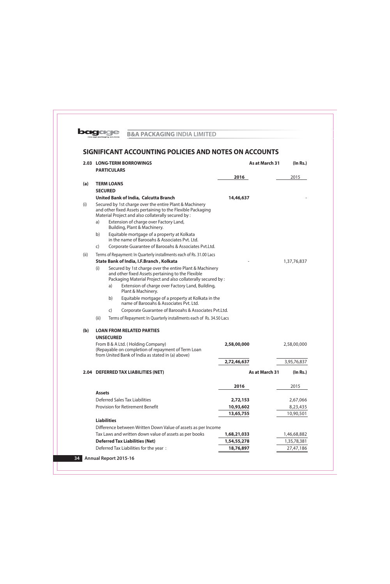

|      |                    |              | 2.03 LONG-TERM BORROWINGS                                                                                                                                                                                                         | As at March 31 |             | (ln Rs.) |
|------|--------------------|--------------|-----------------------------------------------------------------------------------------------------------------------------------------------------------------------------------------------------------------------------------|----------------|-------------|----------|
|      | <b>PARTICULARS</b> |              |                                                                                                                                                                                                                                   |                |             |          |
|      |                    |              |                                                                                                                                                                                                                                   | 2016           | 2015        |          |
| (a)  | <b>TERM LOANS</b>  |              |                                                                                                                                                                                                                                   |                |             |          |
|      | <b>SECURED</b>     |              |                                                                                                                                                                                                                                   |                |             |          |
|      |                    |              | <b>United Bank of India, Calcutta Branch</b>                                                                                                                                                                                      | 14,46,637      |             |          |
| (i)  |                    |              | Secured by 1st charge over the entire Plant & Machinery<br>and other fixed Assets pertaining to the Flexible Packaging<br>Material Project and also collaterally secured by :                                                     |                |             |          |
|      | a)                 |              | Extension of charge over Factory Land,<br>Building, Plant & Machinery.                                                                                                                                                            |                |             |          |
|      | b)                 |              | Equitable mortgage of a property at Kolkata<br>in the name of Barooahs & Associates Pyt. Ltd.                                                                                                                                     |                |             |          |
|      | $\mathsf{C}$       |              | Corporate Guarantee of Barooahs & Associates Pvt.Ltd.                                                                                                                                                                             |                |             |          |
| (ii) |                    |              | Terms of Repayment: In Quarterly installments each of Rs. 31.00 Lacs                                                                                                                                                              |                |             |          |
|      |                    |              | State Bank of India, I.F.Branch, Kolkata                                                                                                                                                                                          |                | 1,37,76,837 |          |
|      | (i)                | a)           | Secured by 1st charge over the entire Plant & Machinery<br>and other fixed Assets pertaining to the Flexible<br>Packaging Material Project and also collaterally secured by :<br>Extension of charge over Factory Land, Building, |                |             |          |
|      |                    |              | Plant & Machinery.                                                                                                                                                                                                                |                |             |          |
|      |                    | b)           | Equitable mortgage of a property at Kolkata in the<br>name of Barooahs & Associates Pvt. Ltd.                                                                                                                                     |                |             |          |
|      |                    | $\mathsf{C}$ | Corporate Guarantee of Barooahs & Associates Pvt.Ltd.                                                                                                                                                                             |                |             |          |
|      | (ii)               |              | Terms of Repayment: In Quarterly installments each of Rs. 34.50 Lacs                                                                                                                                                              |                |             |          |
| (b)  |                    |              | <b>LOAN FROM RELATED PARTIES</b>                                                                                                                                                                                                  |                |             |          |
|      | <b>UNSECURED</b>   |              |                                                                                                                                                                                                                                   |                |             |          |
|      |                    |              | From B & A Ltd. (Holding Company)<br>(Repayable on completion of repayment of Term Loan<br>from United Bank of India as stated in (a) above)                                                                                      | 2,58,00,000    | 2,58,00,000 |          |
|      |                    |              |                                                                                                                                                                                                                                   | 2,72,46,637    | 3,95,76,837 |          |
|      |                    |              | 2.04 DEFERRED TAX LIABILITIES (NET)                                                                                                                                                                                               | As at March 31 |             | (ln Rs.) |
|      |                    |              |                                                                                                                                                                                                                                   | 2016           | 2015        |          |
|      | <b>Assets</b>      |              |                                                                                                                                                                                                                                   |                |             |          |
|      |                    |              | <b>Deferred Sales Tax Liabilities</b>                                                                                                                                                                                             | 2,72,153       | 2,67,066    |          |
|      |                    |              | Provision for Retirement Benefit                                                                                                                                                                                                  | 10,93,602      | 8,23,435    |          |
|      | <b>Liabilities</b> |              |                                                                                                                                                                                                                                   | 13,65,755      | 10,90,501   |          |
|      |                    |              | Difference between Written Down Value of assets as per Income                                                                                                                                                                     |                |             |          |
|      |                    |              | Tax Laws and written down value of assets as per books                                                                                                                                                                            | 1,68,21,033    | 1,46,68,882 |          |
|      |                    |              | <b>Deferred Tax Liabilities (Net)</b>                                                                                                                                                                                             | 1,54,55,278    | 1,35,78,381 |          |
|      |                    |              | Deferred Tax Liabilities for the year:                                                                                                                                                                                            | 18,76,897      | 27,47,186   |          |
|      |                    |              |                                                                                                                                                                                                                                   |                |             |          |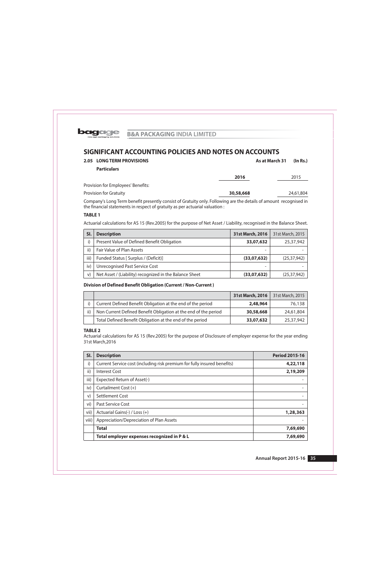

| <b>2.05 LONG TERM PROVISIONS</b>   |           | As at March 31                                                                                                                                                                                                                | (ln Rs.)  |
|------------------------------------|-----------|-------------------------------------------------------------------------------------------------------------------------------------------------------------------------------------------------------------------------------|-----------|
| <b>Particulars</b>                 |           |                                                                                                                                                                                                                               |           |
|                                    | 2016      |                                                                                                                                                                                                                               | 2015      |
| Provision for Employees' Benefits: |           |                                                                                                                                                                                                                               |           |
| <b>Provision for Gratuity</b>      | 30,58,668 |                                                                                                                                                                                                                               | 24,61,804 |
| $\sim$                             |           | $-1$ . The contract of the contract of the contract of the contract of the contract of the contract of the contract of the contract of the contract of the contract of the contract of the contract of the contract of the co |           |

Company's Long Term benefit presently consist of Gratuity only. Following are the details of amount recognised in the financial statements in respect of gratuity as per actuarial valuation :

# **TABLE 1**

Actuarial calculations for AS 15 (Rev.2005) for the purpose of Net Asset / Liability, recognised in the Balance Sheet.

| SI.  | <b>Description</b>                                      | 31st March, 2016 | 31st March, 2015 |
|------|---------------------------------------------------------|------------------|------------------|
| i)   | Present Value of Defined Benefit Obligation             | 33,07,632        | 25,37,942        |
| ii)  | Fair Value of Plan Assets                               |                  |                  |
| iii) | Funded Status [ Surplus / (Deficit)]                    | (33,07,632)      | (25, 37, 942)    |
| iv)  | <b>Unrecognised Past Service Cost</b>                   |                  |                  |
| V)   | Net Asset / (Liability) recognized in the Balance Sheet | (33,07,632)      | (25, 37, 942)    |

## Division of Defined Benefit Obligation (Current / Non-Current)

|     |                                                                 | 31st March, 2016 | 31st March, 2015 |
|-----|-----------------------------------------------------------------|------------------|------------------|
|     | Current Defined Benefit Obligation at the end of the period     | 2,48,964         | 76,138           |
| ii) | Non Current Defined Benefit Obligation at the end of the period | 30,58,668        | 24,61,804        |
|     | Total Defined Benefit Obligation at the end of the period       | 33,07,632        | 25,37,942        |

## **TABLE 2**

Actuarial calculations for AS 15 (Rev.2005) for the purpose of Disclosure of employer expense for the year ending 31st March, 2016

| SI.   | <b>Description</b>                                                       | <b>Period 2015-16</b> |
|-------|--------------------------------------------------------------------------|-----------------------|
| i)    | Current Service cost (including risk premium for fully insured benefits) | 4,22,118              |
| ii)   | Interest Cost                                                            | 2,19,209              |
| iii)  | Expected Return of Asset(-)                                              |                       |
| iv)   | Curtailment Cost (+)                                                     |                       |
| V)    | Settlement Cost                                                          |                       |
| vi)   | Past Service Cost                                                        |                       |
| vii)  | Actuarial Gains(-) / Loss (+)                                            | 1,28,363              |
| viii) | Appreciation/Depreciation of Plan Assets                                 |                       |
|       | <b>Total</b>                                                             | 7,69,690              |
|       | Total employer expenses recognized in P & L                              | 7,69,690              |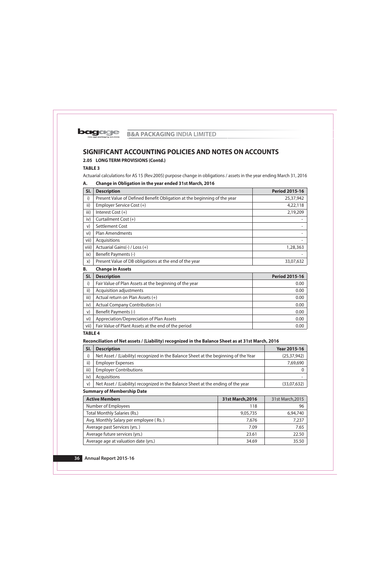

# 2.05 LONG TERM PROVISIONS (Contd.)

**TABLE 3** 

Actuarial calculations for AS 15 (Rev.2005) purpose change in obligations / assets in the year ending March 31, 2016

#### Α. Change in Obligation in the year ended 31st March, 2016

| SI.      | <b>Description</b>                                                       | <b>Period 2015-16</b> |
|----------|--------------------------------------------------------------------------|-----------------------|
| i)       | Present Value of Defined Benefit Obligation at the beginning of the year | 25,37,942             |
| ii)      | Employer Service Cost (+)                                                | 4,22,118              |
| iii)     | Interest Cost $(+)$                                                      | 2,19,209              |
| iv)      | Curtailment Cost (+)                                                     |                       |
| V)       | Settlement Cost                                                          |                       |
| vi)      | <b>Plan Amendments</b>                                                   |                       |
| vii)     | Acquisitions                                                             |                       |
| viii)    | Actuarial Gains(-) / Loss (+)                                            | 1,28,363              |
| ix)      | Benefit Payments (-)                                                     |                       |
| $\chi$ ) | Present Value of DB obligations at the end of the year                   | 33,07,632             |

## **B. Change in Assets**

| SI.  | <b>Description</b>                                     | <b>Period 2015-16</b> |
|------|--------------------------------------------------------|-----------------------|
| i)   | Fair Value of Plan Assets at the beginning of the year | 0.00                  |
| ii)  | Acquisition adjustments                                | 0.00                  |
| iii) | Actual return on Plan Assets (+)                       | 0.00                  |
| iv)  | Actual Company Contribution (+)                        | 0.00                  |
| V)   | Benefit Payments (-)                                   | 0.00                  |
| vi)  | Appreciation/Depreciation of Plan Assets               | 0.00                  |
| vii) | Fair Value of Plant Assets at the end of the period    | 0.00                  |

# **TABLE 4**

# Reconciliation of Net assets / (Liability) recognized in the Balance Sheet as at 31st March, 2016

| SI.  | <b>Description</b>                                                                   | <b>Year 2015-16</b> |
|------|--------------------------------------------------------------------------------------|---------------------|
|      | Net Asset / (Liability) recognized in the Balance Sheet at the beginning of the Year | (25, 37, 942)       |
| ii)  | <b>Employer Expenses</b>                                                             | 7,69,690            |
| iii) | <b>Employer Contributions</b>                                                        |                     |
| iv)  | Acquisitions                                                                         |                     |
| V)   | Net Asset / (Liability) recognized in the Balance Sheet at the ending of the year    | (33,07,632)         |

## **Summary of Membership Date**

| <b>Active Members</b>                  | 31st March, 2016 | 31st March, 2015 |
|----------------------------------------|------------------|------------------|
| Number of Employees                    | 118              | 96               |
| Total Monthly Salaries (Rs.)           | 9,05,735         | 6,94,740         |
| Avg. Monthly Salary per employee (Rs.) | 7,676            | 7,237            |
| Average past Services (yrs.)           | 7.09             | 7.65             |
| Average future services (yrs.)         | 23.61            | 22.50            |
| Average age at valuation date (yrs.)   | 34.69            | 35.50            |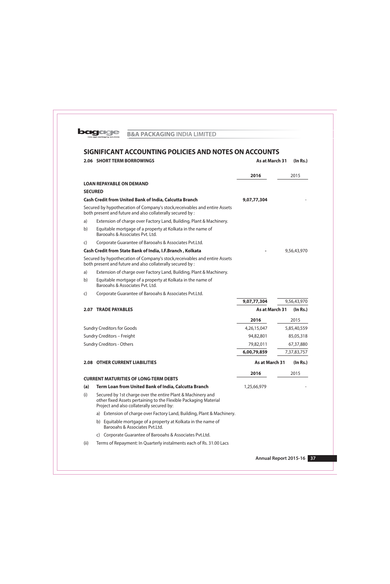

|                | <b>2.06 SHORT TERM BORROWINGS</b>                                                                                                                                            | As at March 31             | (ln Rs.)    |
|----------------|------------------------------------------------------------------------------------------------------------------------------------------------------------------------------|----------------------------|-------------|
|                |                                                                                                                                                                              | 2016                       | 2015        |
|                | <b>LOAN REPAYABLE ON DEMAND</b>                                                                                                                                              |                            |             |
| <b>SECURED</b> |                                                                                                                                                                              |                            |             |
|                | <b>Cash Credit from United Bank of India, Calcutta Branch</b>                                                                                                                | 9,07,77,304                |             |
|                | Secured by hypothecation of Company's stock, receivables and entire Assets<br>both present and future and also collaterally secured by:                                      |                            |             |
| a)             | Extension of charge over Factory Land, Building, Plant & Machinery.                                                                                                          |                            |             |
| b)             | Equitable mortgage of a property at Kolkata in the name of<br>Barooahs & Associates Pyt. Ltd.                                                                                |                            |             |
| $\mathsf{C}$   | Corporate Guarantee of Barooahs & Associates Pvt.Ltd.                                                                                                                        |                            |             |
|                | Cash Credit from State Bank of India, I.F.Branch, Kolkata                                                                                                                    |                            | 9,56,43,970 |
|                | Secured by hypothecation of Company's stock, receivables and entire Assets<br>both present and future and also collaterally secured by :                                     |                            |             |
| a)             | Extension of charge over Factory Land, Building, Plant & Machinery.                                                                                                          |                            |             |
| b)             | Equitable mortgage of a property at Kolkata in the name of<br>Barooahs & Associates Pvt. Ltd.                                                                                |                            |             |
| C)             | Corporate Guarantee of Barooahs & Associates Pvt.Ltd.                                                                                                                        |                            |             |
|                |                                                                                                                                                                              | 9,07,77,304                | 9,56,43,970 |
| 2.07           | <b>TRADE PAYABLES</b>                                                                                                                                                        | As at March 31<br>(In Rs.) |             |
|                |                                                                                                                                                                              | 2016                       | 2015        |
|                | <b>Sundry Creditors for Goods</b>                                                                                                                                            | 4,26,15,047                | 5,85,40,559 |
|                | Sundry Creditors - Freight                                                                                                                                                   | 94,82,801                  | 85,05,318   |
|                | <b>Sundry Creditors - Others</b>                                                                                                                                             | 79,82,011                  | 67,37,880   |
|                |                                                                                                                                                                              | 6,00,79,859                | 7,37,83,757 |
|                | <b>2.08 OTHER CURRENT LIABILITIES</b>                                                                                                                                        | As at March 31             | (In Rs.)    |
|                |                                                                                                                                                                              | 2016                       | 2015        |
|                | <b>CURRENT MATURITIES OF LONG-TERM DEBTS</b>                                                                                                                                 |                            |             |
| (a)            | Term Loan from United Bank of India, Calcutta Branch                                                                                                                         | 1,25,66,979                |             |
| (i)            | Secured by 1st charge over the entire Plant & Machinery and<br>other fixed Assets pertaining to the Flexible Packaging Material<br>Project and also collaterally secured by: |                            |             |
|                | a) Extension of charge over Factory Land, Building, Plant & Machinery.                                                                                                       |                            |             |
|                | Equitable mortgage of a property at Kolkata in the name of<br>b)<br>Barooahs & Associates Pvt.Ltd.                                                                           |                            |             |
|                | Corporate Guarantee of Barooahs & Associates Pvt.Ltd.<br>C)                                                                                                                  |                            |             |

Terms of Repayment: In Quarterly instalments each of Rs. 31.00 Lacs  $(ii)$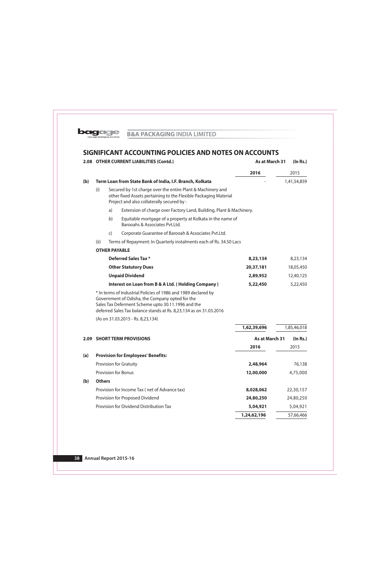

|      |               | 2.08 OTHER CURRENT LIABILITIES (Contd.)                                                                                                                                                                                                       | As at March 31<br>(In Rs.) |  |             |
|------|---------------|-----------------------------------------------------------------------------------------------------------------------------------------------------------------------------------------------------------------------------------------------|----------------------------|--|-------------|
|      |               |                                                                                                                                                                                                                                               | 2016                       |  | 2015        |
| (b)  |               | Term Loan from State Bank of India, I.F. Branch, Kolkata                                                                                                                                                                                      |                            |  | 1,41,54,859 |
|      | (i)           | Secured by 1st charge over the entire Plant & Machinery and<br>other fixed Assets pertaining to the Flexible Packaging Material<br>Project and also collaterally secured by :                                                                 |                            |  |             |
|      |               | a)<br>Extension of charge over Factory Land, Building, Plant & Machinery.                                                                                                                                                                     |                            |  |             |
|      |               | b)<br>Equitable mortgage of a property at Kolkata in the name of<br>Barooahs & Associates Pvt.Ltd.                                                                                                                                            |                            |  |             |
|      |               | Corporate Guarantee of Barooah & Associates Pvt.Ltd.<br>$\mathsf{C}$                                                                                                                                                                          |                            |  |             |
|      | (ii)          | Terms of Repayment: In Quarterly instalments each of Rs. 34.50 Lacs                                                                                                                                                                           |                            |  |             |
|      |               | <b>OTHER PAYABLE</b>                                                                                                                                                                                                                          |                            |  |             |
|      |               | <b>Deferred Sales Tax *</b>                                                                                                                                                                                                                   | 8,23,134                   |  | 8,23,134    |
|      |               | <b>Other Statutory Dues</b>                                                                                                                                                                                                                   | 20,37,181                  |  | 18,05,450   |
|      |               | <b>Unpaid Dividend</b>                                                                                                                                                                                                                        | 2,89,952                   |  | 12,40,125   |
|      |               | <b>Interest on Loan from B &amp; A Ltd. (Holding Company)</b>                                                                                                                                                                                 | 5,22,450                   |  | 5,22,450    |
|      |               | * In terms of Industrial Policies of 1986 and 1989 declared by<br>Government of Odisha, the Company opted for the<br>Sales Tax Deferment Scheme upto 30.11.1996 and the<br>deferred Sales Tax balance stands at Rs. 8,23,134 as on 31.03.2016 |                            |  |             |
|      |               | (As on 31.03.2015 - Rs. 8,23,134)                                                                                                                                                                                                             |                            |  |             |
|      |               |                                                                                                                                                                                                                                               | 1,62,39,696                |  | 1,85,46,018 |
| 2.09 |               | <b>SHORT TERM PROVISIONS</b>                                                                                                                                                                                                                  | As at March 31             |  | (ln Rs.)    |
|      |               |                                                                                                                                                                                                                                               | 2016                       |  | 2015        |
| (a)  |               | <b>Provision for Employees' Benefits:</b>                                                                                                                                                                                                     |                            |  |             |
|      |               | Provision for Gratuity                                                                                                                                                                                                                        | 2,48,964                   |  | 76,138      |
|      |               | Provision for Bonus                                                                                                                                                                                                                           | 12,00,000                  |  | 4,75,000    |
| (b)  | <b>Others</b> |                                                                                                                                                                                                                                               |                            |  |             |
|      |               | Provision for Income Tax (net of Advance tax)                                                                                                                                                                                                 | 8,028,062                  |  | 22,30,157   |
|      |               | Provision for Proposed Dividend                                                                                                                                                                                                               | 24,80,250                  |  | 24,80,250   |
|      |               | Provision for Dividend Distribution Tax                                                                                                                                                                                                       | 5,04,921                   |  | 5,04,921    |
|      |               |                                                                                                                                                                                                                                               | 1,24,62,196                |  | 57,66,466   |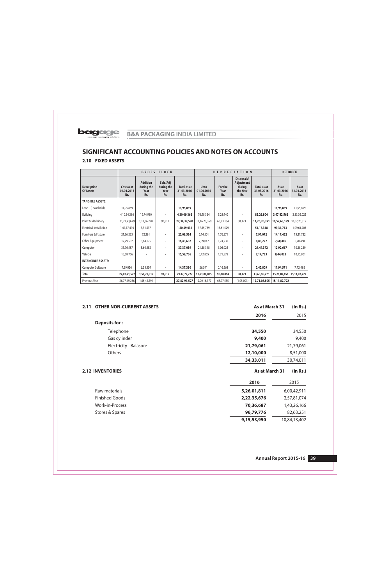## 2.10 FIXED ASSETS

| <b>GROSS BLOCK</b>                     |                                 |                                              |                                       | <b>DEPRECIATION</b>              |                           |                        | <b>NET BLOCK</b>                                      |                                  |                            |                            |
|----------------------------------------|---------------------------------|----------------------------------------------|---------------------------------------|----------------------------------|---------------------------|------------------------|-------------------------------------------------------|----------------------------------|----------------------------|----------------------------|
| <b>Description</b><br><b>Of Assets</b> | Cost as at<br>01.04.2015<br>Rs. | <b>Addition</b><br>during the<br>Year<br>Rs. | Sale/Adj<br>during the<br>Year<br>Rs. | Total as at<br>31.03.2016<br>Rs. | Upto<br>01.04.2015<br>Rs. | For the<br>Year<br>Rs. | Disposals/<br>Adjustment<br>during<br>the Year<br>Rs. | Total as at<br>31.03.2016<br>Rs. | As at<br>31.03.2016<br>Rs. | As at<br>31.03.2015<br>Rs. |
| <b>TANGIBLE ASSETS:</b>                |                                 |                                              |                                       |                                  |                           |                        |                                                       |                                  |                            |                            |
| Land (Leasehold)                       | 11,95,859                       |                                              |                                       | 11,95,859                        |                           |                        |                                                       |                                  | 11,95,859                  | 11,95,859                  |
| Building                               | 4,10,34,386                     | 19,74,980                                    |                                       | 4,30,09,366                      | 76,98,364                 | 5,28,440               |                                                       | 82,26,804                        | 3,47,82,562                | 3,33,36,022                |
| Plant & Machinery                      | 21,23,93,679                    | 1,11,36,728                                  | 90,817                                | 22,34,39,590                     | 11,16,23,360              | 60,83,154              | 30,123                                                | 11,76,76,391                     | 10,57,63,199               | 10,07,70,319               |
| <b>Electrical Installation</b>         | 1,47,17,494                     | 3,31,537                                     |                                       | 1,50,49,031                      | 37,55,789                 | 13,61,529              |                                                       | 51,17,318                        | 99,31,713                  | 1,09,61,705                |
| Furniture & Fixture                    | 21,36,233                       | 72,291                                       |                                       | 22,08,524                        | 6,14,501                  | 1,76,571               |                                                       | 7,91,072                         | 14,17,452                  | 15,21,732                  |
| Office Equipment                       | 12,79,507                       | 3,64,175                                     |                                       | 16,43,682                        | 7,09,047                  | 1,74,230               |                                                       | 8,83,277                         | 7,60,405                   | 5,70,460                   |
| Computer                               | 31,76,587                       | 5,60,452                                     |                                       | 37,37,039                        | 21,38,348                 | 3,06,024               |                                                       | 24,44,372                        | 12,92,667                  | 10,38,239                  |
| Vehicle                                | 15,58,756                       |                                              |                                       | 15,58,756                        | 5,42,855                  | 1,71,878               |                                                       | 7,14,733                         | 8,44,023                   | 10,15,901                  |
| <b>INTANGIBLE ASSETS:</b>              |                                 |                                              |                                       |                                  |                           |                        |                                                       |                                  |                            |                            |
| Computer Software                      | 7,99,026                        | 6,38,354                                     |                                       | 14,37,380                        | 26,541                    | 2,16,268               |                                                       | 2,42,809                         | 11,94,571                  | 7,72,485                   |
| <b>Total</b>                           | 27,82,91,527                    | 1,50,78,517                                  | 90,817                                | 29,32,79,227                     | 12,71,08,805              | 90,18,094              | 30,123                                                | 13,60,96,776                     | 15,71,82,451               | 15,11,82,722               |
| Previous Year                          | 26,77,49,236                    | 1,05,42,291                                  | $\overline{\phantom{a}}$              | 27,82,91,527                     | 12,00,16,177              | 68,97,535              | (1,95,093)                                            | 12,71,08,805                     | 15, 11, 82, 722            |                            |

| <b>OTHER NON-CURRENT ASSETS</b><br>2.11 |  | As at March 31 | (ln Rs.)     |
|-----------------------------------------|--|----------------|--------------|
|                                         |  | 2016           | 2015         |
| <b>Deposits for:</b>                    |  |                |              |
| Telephone                               |  | 34,550         | 34,550       |
| Gas cylinder                            |  | 9,400          | 9,400        |
| Electricity - Balasore                  |  | 21,79,061      | 21,79,061    |
| Others                                  |  | 12,10,000      | 8,51,000     |
|                                         |  | 34,33,011      | 30,74,011    |
| <b>2.12 INVENTORIES</b>                 |  | As at March 31 | (In Rs.)     |
|                                         |  | 2016           | 2015         |
| Raw materials                           |  | 5,26,01,811    | 6,00,42,911  |
| <b>Finished Goods</b>                   |  | 2,22,35,676    | 2,57,81,074  |
| Work-in-Process                         |  | 70,36,687      | 1,43,26,166  |
| Stores & Spares                         |  | 96,79,776      | 82,63,251    |
|                                         |  | 9,15,53,950    | 10,84,13,402 |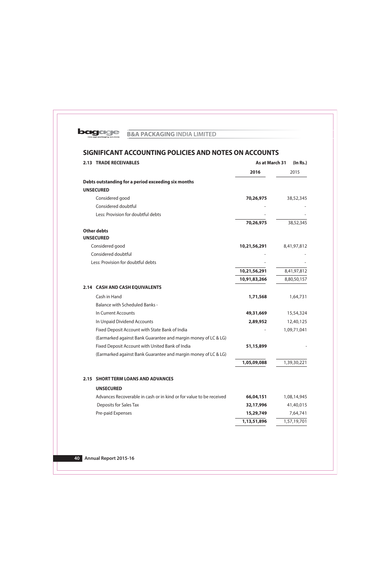

|      | <b>2.13 TRADE RECEIVABLES</b>                                       |              | As at March 31<br>(ln Rs.) |  |  |
|------|---------------------------------------------------------------------|--------------|----------------------------|--|--|
|      |                                                                     | 2016         | 2015                       |  |  |
|      | Debts outstanding for a period exceeding six months                 |              |                            |  |  |
|      | <b>UNSECURED</b>                                                    |              |                            |  |  |
|      | Considered good                                                     | 70,26,975    | 38,52,345                  |  |  |
|      | Considered doubtful                                                 |              |                            |  |  |
|      | Less: Provision for doubtful debts                                  |              |                            |  |  |
|      |                                                                     | 70,26,975    | 38,52,345                  |  |  |
|      | <b>Other debts</b>                                                  |              |                            |  |  |
|      | <b>UNSECURED</b>                                                    |              |                            |  |  |
|      | Considered good                                                     | 10,21,56,291 | 8,41,97,812                |  |  |
|      | Considered doubtful                                                 |              |                            |  |  |
|      | Less: Provision for doubtful debts                                  |              |                            |  |  |
|      |                                                                     | 10,21,56,291 | 8,41,97,812                |  |  |
|      |                                                                     | 10,91,83,266 | 8,80,50,157                |  |  |
|      | 2.14 CASH AND CASH EQUIVALENTS                                      |              |                            |  |  |
|      | Cash in Hand                                                        | 1,71,568     | 1,64,731                   |  |  |
|      | <b>Balance with Scheduled Banks -</b>                               |              |                            |  |  |
|      | In Current Accounts                                                 | 49,31,669    | 15,54,324                  |  |  |
|      | In Unpaid Dividend Accounts                                         | 2,89,952     | 12,40,125                  |  |  |
|      | Fixed Deposit Account with State Bank of India                      |              | 1,09,71,041                |  |  |
|      | (Earmarked against Bank Guarantee and margin money of LC & LG)      |              |                            |  |  |
|      | Fixed Deposit Account with United Bank of India                     | 51,15,899    |                            |  |  |
|      | (Earmarked against Bank Guarantee and margin money of LC & LG)      |              |                            |  |  |
|      |                                                                     | 1,05,09,088  | 1,39,30,221                |  |  |
| 2.15 | <b>SHORT TERM LOANS AND ADVANCES</b>                                |              |                            |  |  |
|      | <b>UNSECURED</b>                                                    |              |                            |  |  |
|      | Advances Recoverable in cash or in kind or for value to be received | 66,04,151    | 1,08,14,945                |  |  |
|      | Deposits for Sales Tax                                              | 32,17,996    | 41,40,015                  |  |  |
|      | Pre-paid Expenses                                                   | 15,29,749    | 7,64,741                   |  |  |
|      |                                                                     | 1,13,51,896  | 1,57,19,701                |  |  |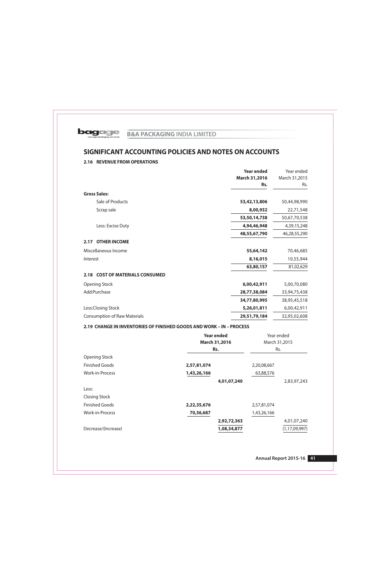

# 2.16 REVENUE FROM OPERATIONS

|                                     | <b>Year ended</b> | Year ended    |
|-------------------------------------|-------------------|---------------|
|                                     | March 31,2016     | March 31,2015 |
|                                     | Rs.               | Rs.           |
| <b>Gross Sales:</b>                 |                   |               |
| Sale of Products                    | 53,42,13,806      | 50,44,98,990  |
| Scrap sale                          | 8,00,932          | 22,71,548     |
|                                     | 53,50,14,738      | 50,67,70,538  |
| Less: Excise Duty                   | 4,94,46,948       | 4,39,15,248   |
|                                     | 48,55,67,790      | 46,28,55,290  |
| <b>OTHER INCOME</b><br>2.17         |                   |               |
| Miscellaneous Income                | 55,64,142         | 70,46,685     |
| Interest                            | 8,16,015          | 10,55,944     |
|                                     | 63,80,157         | 81,02,629     |
| 2.18 COST OF MATERIALS CONSUMED     |                   |               |
| <b>Opening Stock</b>                | 6,00,42,911       | 5,00,70,080   |
| Add:Purchase                        | 28,77,38,084      | 33,94,75,438  |
|                                     | 34,77,80,995      | 38,95,45,518  |
| Less:Closing Stock                  | 5,26,01,811       | 6,00,42,911   |
| <b>Consumption of Raw Materials</b> | 29,51,79,184      | 32,95,02,608  |
|                                     |                   |               |

## 2.19 CHANGE IN INVENTORIES OF FINISHED GOODS AND WORK - IN - PROCESS

|                       | <b>Year ended</b><br><b>March 31,2016</b> | Year ended<br>March 31,2015 |                  |
|-----------------------|-------------------------------------------|-----------------------------|------------------|
|                       | Rs.                                       | Rs.                         |                  |
| <b>Opening Stock</b>  |                                           |                             |                  |
| <b>Finished Goods</b> | 2,57,81,074                               | 2,20,08,667                 |                  |
| Work-in-Process       | 1,43,26,166                               | 63,88,576                   |                  |
|                       |                                           | 4,01,07,240                 | 2,83,97,243      |
| Less:                 |                                           |                             |                  |
| <b>Closing Stock</b>  |                                           |                             |                  |
| <b>Finished Goods</b> | 2,22,35,676                               | 2,57,81,074                 |                  |
| Work-in-Process       | 70,36,687                                 | 1,43,26,166                 |                  |
|                       |                                           | 2,92,72,363                 | 4,01,07,240      |
| Decrease/(Increase)   |                                           | 1,08,34,877                 | (1, 17, 09, 997) |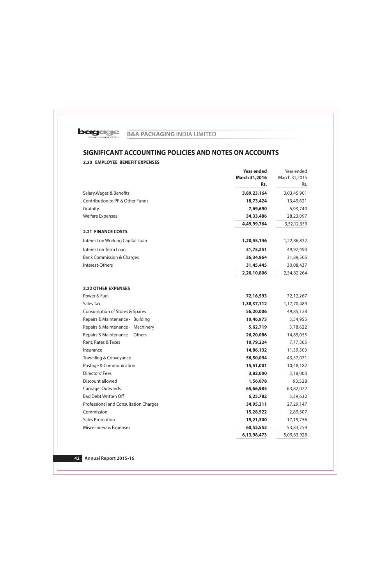

# 2.20 EMPLOYEE BENEFIT EXPENSES

|                                       | <b>Year ended</b> | Year ended    |
|---------------------------------------|-------------------|---------------|
|                                       | March 31,2016     | March 31,2015 |
|                                       | Rs.               | Rs.           |
| Salary, Wages & Benefits              | 3,89,23,164       | 3,03,45,901   |
| Contribution to PF & Other Funds      | 18,73,424         | 13,49,621     |
| Gratuity                              | 7,69,690          | 6,93,740      |
| <b>Welfare Expenses</b>               | 34,33,486         | 28,23,097     |
|                                       | 4,49,99,764       | 3,52,12,359   |
| <b>2.21 FINANCE COSTS</b>             |                   |               |
| Interest on Working Capital Loan      | 1,20,55,146       | 1,22,86,832   |
| Interest on Term Loan                 | 31,75,251         | 49,97,490     |
| <b>Bank Commission &amp; Charges</b>  | 36,34,964         | 31,89,505     |
| Interest-Others                       | 31,45,445         | 30,08,437     |
|                                       | 2,20,10,806       | 2,34,82,264   |
| <b>2.22 OTHER EXPENSES</b>            |                   |               |
| Power & Fuel                          | 72,16,593         | 72,12,267     |
| Sales Tax                             | 1,38,37,112       | 1,17,70,489   |
| Consumption of Stores & Spares        | 56,20,006         | 49,85,128     |
| Repairs & Maintenance - Building      | 10,46,975         | 3,54,955      |
| Repairs & Maintenance - Machinery     | 5,62,719          | 3,78,622      |
| Repairs & Maintenance - Others        | 26,20,086         | 14,85,055     |
| Rent, Rates & Taxes                   | 10,79,224         | 7,77,305      |
| Insurance                             | 14,86,132         | 11,39,503     |
| Travelling & Conveyance               | 56,50,094         | 43,57,071     |
| Postage & Communication               | 15,51,001         | 10,48,182     |
| Directors' Fees                       | 3,82,000          | 3,18,000      |
| Discount allowed                      | 1,56,078          | 93,528        |
| Carriage Outwards                     | 65,66,985         | 63,82,022     |
| <b>Bad Debt Written Off</b>           | 6,25,782          | 5,39,632      |
| Professional and Consultation Charges | 34,95,311         | 27,29,147     |
| Commission                            | 15,28,522         | 2,89,507      |
| <b>Sales Promotion</b>                | 19,21,300         | 17,19,756     |
| Miscellaneous Expenses                | 60,52,553         | 53,83,759     |
|                                       | 6,13,98,473       | 5,09,63,928   |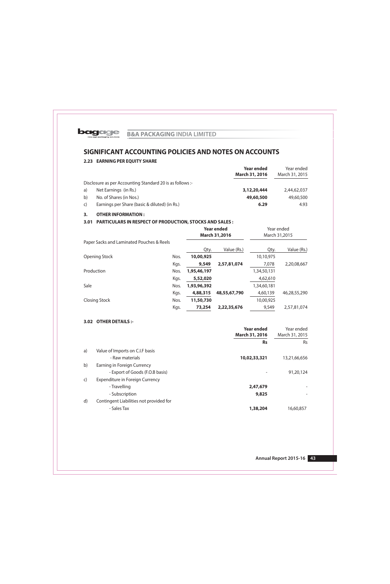

# 2.23 EARNING PER EQUITY SHARE

|              |                                                           | <b>Year ended</b><br>March 31, 2016 | Year ended<br>March 31, 2015 |
|--------------|-----------------------------------------------------------|-------------------------------------|------------------------------|
|              | Disclosure as per Accounting Standard 20 is as follows :- |                                     |                              |
| a)           | Net Earnings (in Rs.)                                     | 3,12,20,444                         | 2,44,62,037                  |
| b)           | No. of Shares (in Nos.)                                   | 49,60,500                           | 49,60,500                    |
| $\mathsf{C}$ | Earnings per Share (basic & diluted) (in Rs.)             | 6.29                                | 4.93                         |

## 3. OTHER INFORMATION :

## 3.01 PARTICULARS IN RESPECT OF PRODUCTION, STOCKS AND SALES :

|                                           |      | <b>Year ended</b><br><b>March 31,2016</b> |              | Year ended<br>March 31,2015 |              |
|-------------------------------------------|------|-------------------------------------------|--------------|-----------------------------|--------------|
| Paper Sacks and Laminated Pouches & Reels |      |                                           |              |                             |              |
|                                           |      | Qty.                                      | Value (Rs.)  | Qty.                        | Value (Rs.)  |
| <b>Opening Stock</b>                      | Nos. | 10,00,925                                 |              | 10,10,975                   |              |
|                                           | Kgs. | 9,549                                     | 2,57,81,074  | 7,078                       | 2,20,08,667  |
| Production                                | Nos. | 1,95,46,197                               |              | 1,34,50,131                 |              |
|                                           | Kgs. | 5,52,020                                  |              | 4,62,610                    |              |
| Sale                                      | Nos. | 1,93,96,392                               |              | 1,34,60,181                 |              |
|                                           | Kgs. | 4,88,315                                  | 48,55,67,790 | 4,60,139                    | 46,28,55,290 |
| <b>Closing Stock</b>                      | Nos. | 11,50,730                                 |              | 10,00,925                   |              |
|                                           | Kgs. | 73,254                                    | 2,22,35,676  | 9,549                       | 2,57,81,074  |

# 3.02 OTHER DETAILS :-

|              |                                         | Year ended     | Year ended     |
|--------------|-----------------------------------------|----------------|----------------|
|              |                                         | March 31, 2016 | March 31, 2015 |
|              |                                         | <b>Rs</b>      | <b>Rs</b>      |
| a)           | Value of Imports on C.I.F basis         |                |                |
|              | - Raw materials                         | 10,02,33,321   | 13,21,66,656   |
| b)           | Earning in Foreign Currency             |                |                |
|              | - Export of Goods (F.O.B basis)         |                | 91,20,124      |
| $\mathsf{C}$ | Expenditure in Foreign Currency         |                |                |
|              | - Travelling                            | 2,47,679       |                |
|              | - Subscription                          | 9,825          |                |
| $\mathsf{d}$ | Contingent Liabilities not provided for |                |                |
|              | - Sales Tax                             | 1,38,204       | 16,60,857      |
|              |                                         |                |                |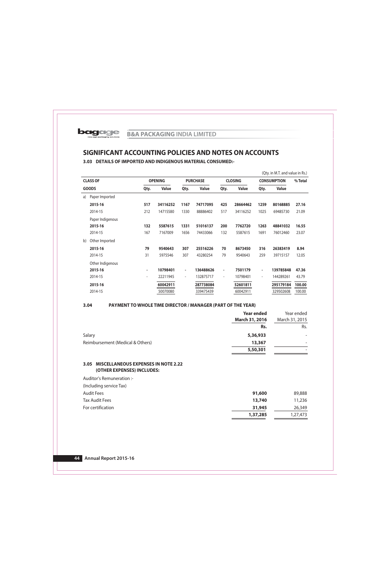# 3.03 DETAILS OF IMPORTED AND INDIGENOUS MATERIAL CONSUMED:-

|    |                  |                          |                |                          |                 |                          |                |                          | (Qty. in M.T. and value in Rs.) |         |
|----|------------------|--------------------------|----------------|--------------------------|-----------------|--------------------------|----------------|--------------------------|---------------------------------|---------|
|    | <b>CLASS OF</b>  |                          | <b>OPENING</b> |                          | <b>PURCHASE</b> |                          | <b>CLOSING</b> |                          | <b>CONSUMPTION</b>              | % Total |
|    | <b>GOODS</b>     | Qty.                     | <b>Value</b>   | Qty.                     | <b>Value</b>    | Qty.                     | <b>Value</b>   | Qty.                     | <b>Value</b>                    |         |
| a) | Paper Imported   |                          |                |                          |                 |                          |                |                          |                                 |         |
|    | 2015-16          | 517                      | 34116252       | 1167                     | 74717095        | 425                      | 28664462       | 1259                     | 80168885                        | 27.16   |
|    | 2014-15          | 212                      | 14715580       | 1330                     | 88886402        | 517                      | 34116252       | 1025                     | 69485730                        | 21.09   |
|    | Paper Indigenous |                          |                |                          |                 |                          |                |                          |                                 |         |
|    | 2015-16          | 132                      | 5587615        | 1331                     | 51016137        | 200                      | 7762720        | 1263                     | 48841032                        | 16.55   |
|    | 2014-15          | 167                      | 7167009        | 1656                     | 74433066        | 132                      | 5587615        | 1691                     | 76012460                        | 23.07   |
| b) | Other Imported   |                          |                |                          |                 |                          |                |                          |                                 |         |
|    | 2015-16          | 79                       | 9540643        | 307                      | 25516226        | 70                       | 8673450        | 316                      | 26383419                        | 8.94    |
|    | 2014-15          | 31                       | 5975546        | 307                      | 43280254        | 79                       | 9540643        | 259                      | 39715157                        | 12.05   |
|    | Other Indigenous |                          |                |                          |                 |                          |                |                          |                                 |         |
|    | 2015-16          | $\overline{\phantom{a}}$ | 10798401       | $\overline{\phantom{a}}$ | 136488626       | $\overline{\phantom{a}}$ | 7501179        | $\overline{\phantom{a}}$ | 139785848                       | 47.36   |
|    | 2014-15          | $\overline{\phantom{a}}$ | 22211945       | $\overline{\phantom{a}}$ | 132875717       | $\overline{\phantom{a}}$ | 10798401       | $\overline{\phantom{a}}$ | 144289261                       | 43.79   |
|    | 2015-16          |                          | 60042911       |                          | 287738084       |                          | 52601811       |                          | 295179184                       | 100.00  |
|    | 2014-15          |                          | 50070080       |                          | 339475439       |                          | 60042911       |                          | 329502608                       | 100.00  |

#### $3.04$ PAYMENT TO WHOLE TIME DIRECTOR / MANAGER (PART OF THE YEAR)

|                                  | <b>Year ended</b><br>March 31, 2016 | Year ended<br>March 31, 2015 |
|----------------------------------|-------------------------------------|------------------------------|
|                                  | Rs.                                 | Rs.                          |
| Salary                           | 5,36,933                            | $\overline{\phantom{0}}$     |
| Reimbursement (Medical & Others) | 13,367                              |                              |
|                                  | 5,50,301                            |                              |

## 3.05 MISCELLANEOUS EXPENSES IN NOTE 2.22 (OTHER EXPENSES) INCLUDES:

Auditor's Remuneration :-(Including service Tax) **Audit Fees** 91,600 89,888 **Tax Audit Fees** 13,740 11,236 For certification 26,349 31,945 1,37,285 1,27,473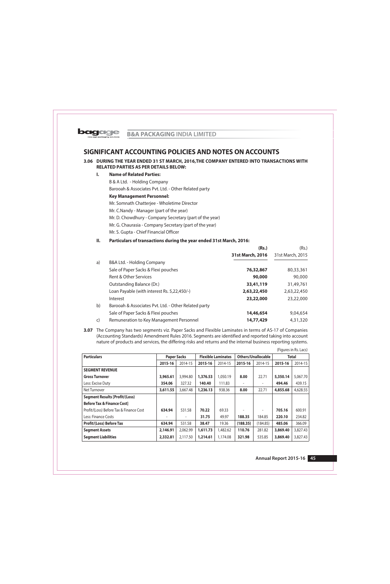

## 3.06 DURING THE YEAR ENDED 31 ST MARCH, 2016, THE COMPANY ENTERED INTO TRANSACTIONS WITH **RELATED PARTIES AS PER DETAILS BELOW:**

#### $\mathbf{L}$ **Name of Related Parties:**

B & A Ltd. - Holding Company

Barooah & Associates Pvt. Ltd. - Other Related party

**Key Management Personnel:** 

Mr. Somnath Chatterjee - Wholetime Director

Mr. C.Nandy - Manager (part of the year)

Mr. D. Chowdhury - Company Secretary (part of the year)

Mr. G. Chaurasia - Company Secretary (part of the year)

Mr. S. Gupta - Chief Financial Officer

#### **II.** Particulars of transactions during the year ended 31st March, 2016:

|              |                                                      | (Rs.)            | (Rs.)            |
|--------------|------------------------------------------------------|------------------|------------------|
|              |                                                      | 31st March, 2016 | 31st March, 2015 |
| a)           | B&A Ltd. - Holding Company                           |                  |                  |
|              | Sale of Paper Sacks & Flexi pouches                  | 76,32,867        | 80,33,361        |
|              | Rent & Other Services                                | 90,000           | 90,000           |
|              | Outstanding Balance (Dr.)                            | 33,41,119        | 31,49,761        |
|              | Loan Payable (with interest Rs. 5,22,450/-)          | 2,63,22,450      | 2,63,22,450      |
|              | Interest                                             | 23,22,000        | 23,22,000        |
| b)           | Barooah & Associates Pvt. Ltd. - Other Related party |                  |                  |
|              | Sale of Paper Sacks & Flexi pouches                  | 14,46,654        | 9,04,654         |
| $\mathsf{C}$ | Remuneration to Key Management Personnel             | 14,77,429        | 4,31,320         |

3.07 The Company has two segments viz. Paper Sacks and Flexible Laminates in terms of AS-17 of Companies (Accounting Standards) Amendment Rules 2016. Segments are identified and reported taking into account nature of products and services, the differing risks and returns and the internal business reporting systems.

(Figures in Rs. Lacs)

| <b>Particulars</b>                      | <b>Paper Sacks</b> |          | <b>Flexible Laminates</b> |          | Others/Unallocable |                          | <b>Total</b> |          |
|-----------------------------------------|--------------------|----------|---------------------------|----------|--------------------|--------------------------|--------------|----------|
|                                         | 2015-16            | 2014-15  | 2015-16                   | 2014-15  | 2015-16            | 2014-15                  | 2015-16      | 2014-15  |
| <b>SEGMENT REVENUE</b>                  |                    |          |                           |          |                    |                          |              |          |
| <b>Gross Turnover</b>                   | 3,965.61           | 3,994.80 | 1,376.53                  | 1,050.19 | 8.00               | 22.71                    | 5,350.14     | 5,067.70 |
| Less: Excise Duty                       | 354.06             | 327.32   | 140.40                    | 111.83   |                    | ٠                        | 494.46       | 439.15   |
| Net Turnover                            | 3,611.55           | 3,667.48 | 1,236.13                  | 938.36   | 8.00               | 22.71                    | 4,855.68     | 4,628.55 |
| <b>Segment Results [Profit/(Loss)</b>   |                    |          |                           |          |                    |                          |              |          |
| <b>Before Tax &amp; Finance Costl</b>   |                    |          |                           |          |                    |                          |              |          |
| Profit/(Loss) Before Tax & Finance Cost | 634.94             | 531.58   | 70.22                     | 69.33    |                    | $\overline{\phantom{a}}$ | 705.16       | 600.91   |
| Less: Finance Costs                     |                    |          | 31.75                     | 49.97    | 188.35             | 184.85                   | 220.10       | 234.82   |
| <b>Profit/(Loss) Before Tax</b>         | 634.94             | 531.58   | 38.47                     | 19.36    | (188.35)           | (184.85)                 | 485.06       | 366.09   |
| <b>Segment Assets</b>                   | 2,146.91           | 2,062.99 | 1,611.73                  | 1,482.62 | 110.76             | 281.82                   | 3,869.40     | 3,827.43 |
| <b>Segment Liabilities</b>              | 2,332.81           | 2,117.50 | 1,214.61                  | 1,174.08 | 321.98             | 535.85                   | 3,869.40     | 3,827.43 |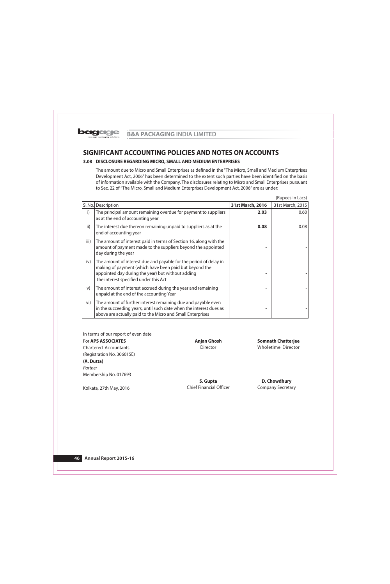

## 3.08 DISCLOSURE REGARDING MICRO, SMALL AND MEDIUM ENTERPRISES

The amount due to Micro and Small Enterprises as defined in the "The Micro, Small and Medium Enterprises Development Act, 2006" has been determined to the extent such parties have been identified on the basis of information available with the Company. The disclosures relating to Micro and Small Enterprises pursuant to Sec. 22 of "The Micro, Small and Medium Enterprises Development Act, 2006" are as under:

|      |                                                                                                                                                                                                                           |                  | (Rupees in Lacs) |
|------|---------------------------------------------------------------------------------------------------------------------------------------------------------------------------------------------------------------------------|------------------|------------------|
|      | Sl.No. Description                                                                                                                                                                                                        | 31st March, 2016 | 31st March, 2015 |
| i)   | The principal amount remaining overdue for payment to suppliers<br>as at the end of accounting year                                                                                                                       | 2.03             | 0.60             |
| ii)  | The interest due thereon remaining unpaid to suppliers as at the<br>end of accounting year                                                                                                                                | 0.08             | 0.08             |
| iii) | The amount of interest paid in terms of Section 16, along with the<br>amount of payment made to the suppliers beyond the appointed<br>day during the year                                                                 |                  |                  |
| iv)  | The amount of interest due and payable for the period of delay in<br>making of payment (which have been paid but beyond the<br>appointed day during the year) but without adding<br>the interest specified under this Act |                  |                  |
| V)   | The amount of interest accrued during the year and remaining<br>unpaid at the end of the accounting Year                                                                                                                  |                  |                  |
| vi)  | The amount of further interest remaining due and payable even<br>in the succeeding years, until such date when the interest dues as<br>above are actually paid to the Micro and Small Enterprises                         |                  |                  |

In terms of our report of even date For APS ASSOCIATES Chartered Accountants (Registration No. 306015E) (A. Dutta) Partner Membership No. 017693

Kolkata, 27th May, 2016

**Anjan Ghosh Director** 

**Somnath Chatterjee Wholetime Director** 

S. Gupta **Chief Financial Officer** 

D. Chowdhury **Company Secretary**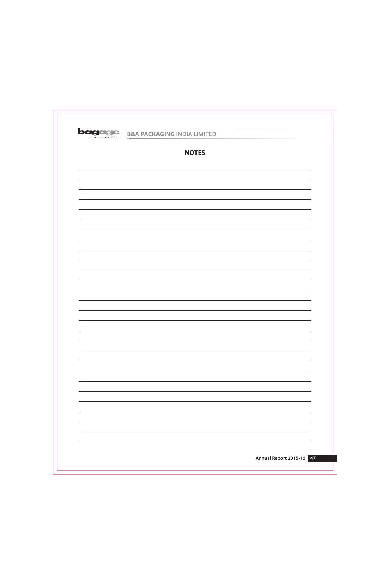

| <b>NOTES</b> |
|--------------|
|              |
|              |
|              |
|              |
|              |
|              |
|              |
|              |
|              |
|              |
|              |
|              |
|              |
|              |
|              |
|              |
|              |
|              |
|              |
|              |
|              |
|              |
|              |
|              |
|              |
|              |
|              |
|              |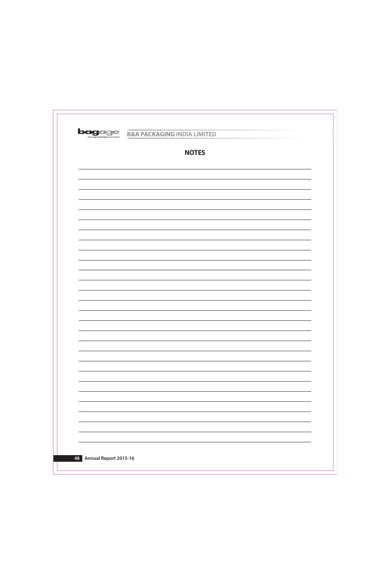

| <b>NOTES</b> |
|--------------|
|              |
|              |
|              |
|              |
|              |
|              |
|              |
|              |
|              |
|              |
|              |
|              |
|              |
|              |
|              |
|              |
|              |
|              |
|              |
|              |
|              |
|              |
|              |
|              |
|              |
|              |
|              |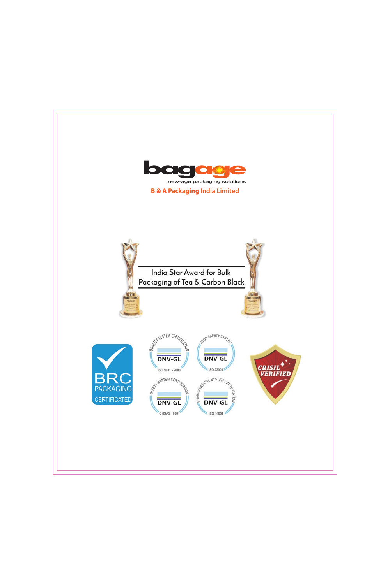

# **B & A Packaging India Limited**